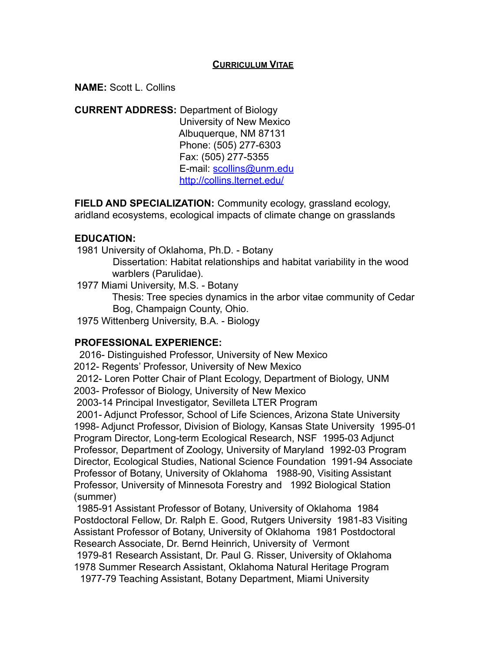### **CURRICULUM VITAE**

**NAME:** Scott L. Collins

**CURRENT ADDRESS:** Department of Biology University of New Mexico Albuquerque, NM 87131 Phone: (505) 277-6303 Fax: (505) 277-5355 E-mail: scollins@unm.edu http://collins.lternet.edu/

**FIELD AND SPECIALIZATION:** Community ecology, grassland ecology, aridland ecosystems, ecological impacts of climate change on grasslands

#### **EDUCATION:**

1981 University of Oklahoma, Ph.D. - Botany

Dissertation: Habitat relationships and habitat variability in the wood warblers (Parulidae).

1977 Miami University, M.S. - Botany

Thesis: Tree species dynamics in the arbor vitae community of Cedar Bog, Champaign County, Ohio.

1975 Wittenberg University, B.A. - Biology

### **PROFESSIONAL EXPERIENCE:**

2016- Distinguished Professor, University of New Mexico 2012- Regents' Professor, University of New Mexico 2012- Loren Potter Chair of Plant Ecology, Department of Biology, UNM 2003- Professor of Biology, University of New Mexico 2003-14 Principal Investigator, Sevilleta LTER Program 2001- Adjunct Professor, School of Life Sciences, Arizona State University 1998- Adjunct Professor, Division of Biology, Kansas State University 1995-01 Program Director, Long-term Ecological Research, NSF 1995-03 Adjunct Professor, Department of Zoology, University of Maryland 1992-03 Program Director, Ecological Studies, National Science Foundation 1991-94 Associate Professor of Botany, University of Oklahoma 1988-90, Visiting Assistant Professor, University of Minnesota Forestry and 1992 Biological Station (summer)

1985-91 Assistant Professor of Botany, University of Oklahoma 1984 Postdoctoral Fellow, Dr. Ralph E. Good, Rutgers University 1981-83 Visiting Assistant Professor of Botany, University of Oklahoma 1981 Postdoctoral Research Associate, Dr. Bernd Heinrich, University of Vermont 1979-81 Research Assistant, Dr. Paul G. Risser, University of Oklahoma 1978 Summer Research Assistant, Oklahoma Natural Heritage Program 1977-79 Teaching Assistant, Botany Department, Miami University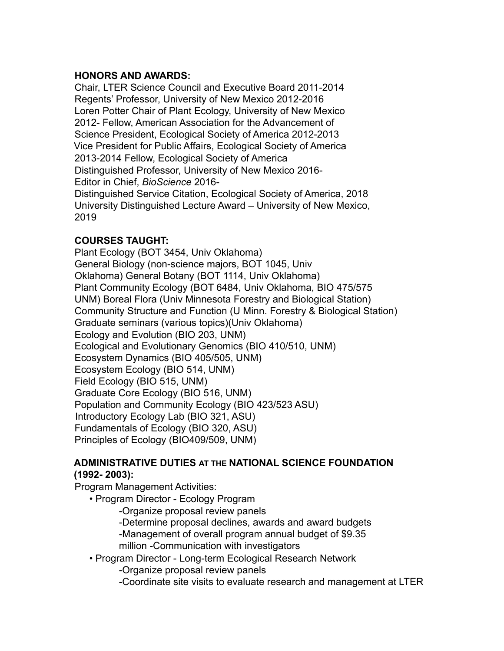## **HONORS AND AWARDS:**

Chair, LTER Science Council and Executive Board 2011-2014 Regents' Professor, University of New Mexico 2012-2016 Loren Potter Chair of Plant Ecology, University of New Mexico 2012- Fellow, American Association for the Advancement of Science President, Ecological Society of America 2012-2013 Vice President for Public Affairs, Ecological Society of America 2013-2014 Fellow, Ecological Society of America Distinguished Professor, University of New Mexico 2016- Editor in Chief, *BioScience* 2016- Distinguished Service Citation, Ecological Society of America, 2018 University Distinguished Lecture Award – University of New Mexico, 2019

# **COURSES TAUGHT:**

Plant Ecology (BOT 3454, Univ Oklahoma) General Biology (non-science majors, BOT 1045, Univ Oklahoma) General Botany (BOT 1114, Univ Oklahoma) Plant Community Ecology (BOT 6484, Univ Oklahoma, BIO 475/575 UNM) Boreal Flora (Univ Minnesota Forestry and Biological Station) Community Structure and Function (U Minn. Forestry & Biological Station) Graduate seminars (various topics)(Univ Oklahoma) Ecology and Evolution (BIO 203, UNM) Ecological and Evolutionary Genomics (BIO 410/510, UNM) Ecosystem Dynamics (BIO 405/505, UNM) Ecosystem Ecology (BIO 514, UNM) Field Ecology (BIO 515, UNM) Graduate Core Ecology (BIO 516, UNM) Population and Community Ecology (BIO 423/523 ASU) Introductory Ecology Lab (BIO 321, ASU) Fundamentals of Ecology (BIO 320, ASU) Principles of Ecology (BIO409/509, UNM)

### **ADMINISTRATIVE DUTIES AT THE NATIONAL SCIENCE FOUNDATION (1992- 2003):**

Program Management Activities:

- Program Director Ecology Program
	- -Organize proposal review panels
	- -Determine proposal declines, awards and award budgets
	- -Management of overall program annual budget of \$9.35 million -Communication with investigators
- Program Director Long-term Ecological Research Network
	- -Organize proposal review panels
	- -Coordinate site visits to evaluate research and management at LTER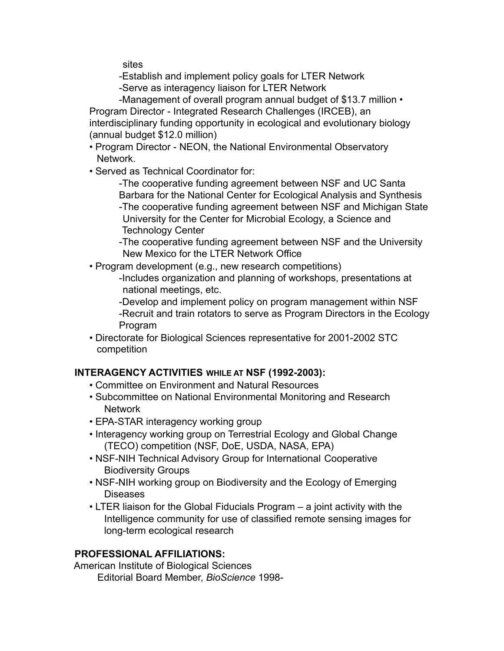sites

-Establish and implement policy goals for LTER Network

-Serve as interagency liaison for LTER Network

-Management of overall program annual budget of \$13.7 million • Program Director - Integrated Research Challenges (IRCEB), an interdisciplinary funding opportunity in ecological and evolutionary biology (annual budget \$12.0 million)

- Program Director NEON, the National Environmental Observatory Network.
- Served as Technical Coordinator for:

-The cooperative funding agreement between NSF and UC Santa Barbara for the National Center for Ecological Analysis and Synthesis -The cooperative funding agreement between NSF and Michigan State

University for the Center for Microbial Ecology, a Science and Technology Center

-The cooperative funding agreement between NSF and the University New Mexico for the LTER Network Office

• Program development (e.g., new research competitions)

-Includes organization and planning of workshops, presentations at national meetings, etc.

-Develop and implement policy on program management within NSF -Recruit and train rotators to serve as Program Directors in the Ecology Program

• Directorate for Biological Sciences representative for 2001-2002 STC competition

# **INTERAGENCY ACTIVITIES WHILE AT NSF (1992-2003):**

- Committee on Environment and Natural Resources
- Subcommittee on National Environmental Monitoring and Research Network
- EPA-STAR interagency working group
- Interagency working group on Terrestrial Ecology and Global Change (TECO) competition (NSF, DoE, USDA, NASA, EPA)
- NSF-NIH Technical Advisory Group for International Cooperative Biodiversity Groups
- NSF-NIH working group on Biodiversity and the Ecology of Emerging Diseases
- LTER liaison for the Global Fiducials Program a joint activity with the Intelligence community for use of classified remote sensing images for long-term ecological research

# **PROFESSIONAL AFFILIATIONS:**

American Institute of Biological Sciences Editorial Board Member, *BioScience* 1998-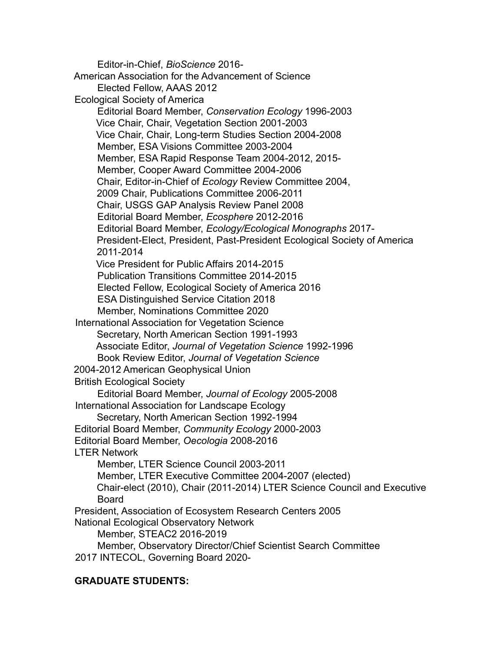Editor-in-Chief, *BioScience* 2016- American Association for the Advancement of Science Elected Fellow, AAAS 2012 Ecological Society of America Editorial Board Member, *Conservation Ecology* 1996-2003 Vice Chair, Chair, Vegetation Section 2001-2003 Vice Chair, Chair, Long-term Studies Section 2004-2008 Member, ESA Visions Committee 2003-2004 Member, ESA Rapid Response Team 2004-2012, 2015- Member, Cooper Award Committee 2004-2006 Chair, Editor-in-Chief of *Ecology* Review Committee 2004, 2009 Chair, Publications Committee 2006-2011 Chair, USGS GAP Analysis Review Panel 2008 Editorial Board Member, *Ecosphere* 2012-2016 Editorial Board Member, *Ecology/Ecological Monographs* 2017- President-Elect, President, Past-President Ecological Society of America 2011-2014 Vice President for Public Affairs 2014-2015 Publication Transitions Committee 2014-2015 Elected Fellow, Ecological Society of America 2016 ESA Distinguished Service Citation 2018 Member, Nominations Committee 2020 International Association for Vegetation Science Secretary, North American Section 1991-1993 Associate Editor, *Journal of Vegetation Science* 1992-1996 Book Review Editor, *Journal of Vegetation Science* 2004-2012 American Geophysical Union British Ecological Society Editorial Board Member, *Journal of Ecology* 2005-2008 International Association for Landscape Ecology Secretary, North American Section 1992-1994 Editorial Board Member, *Community Ecology* 2000-2003 Editorial Board Member, *Oecologia* 2008-2016 LTER Network Member, LTER Science Council 2003-2011 Member, LTER Executive Committee 2004-2007 (elected) Chair-elect (2010), Chair (2011-2014) LTER Science Council and Executive Board President, Association of Ecosystem Research Centers 2005 National Ecological Observatory Network Member, STEAC2 2016-2019 Member, Observatory Director/Chief Scientist Search Committee 2017 INTECOL, Governing Board 2020-

#### **GRADUATE STUDENTS:**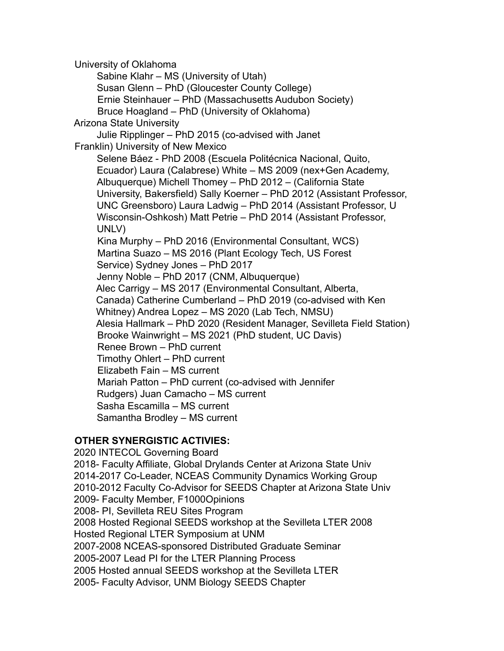University of Oklahoma Sabine Klahr – MS (University of Utah) Susan Glenn – PhD (Gloucester County College) Ernie Steinhauer – PhD (Massachusetts Audubon Society) Bruce Hoagland – PhD (University of Oklahoma) Arizona State University Julie Ripplinger – PhD 2015 (co-advised with Janet Franklin) University of New Mexico Selene Báez - PhD 2008 (Escuela Politécnica Nacional, Quito, Ecuador) Laura (Calabrese) White – MS 2009 (nex+Gen Academy, Albuquerque) Michell Thomey – PhD 2012 – (California State University, Bakersfield) Sally Koerner – PhD 2012 (Assistant Professor, UNC Greensboro) Laura Ladwig – PhD 2014 (Assistant Professor, U Wisconsin-Oshkosh) Matt Petrie – PhD 2014 (Assistant Professor, UNLV) Kina Murphy – PhD 2016 (Environmental Consultant, WCS) Martina Suazo – MS 2016 (Plant Ecology Tech, US Forest Service) Sydney Jones – PhD 2017 Jenny Noble – PhD 2017 (CNM, Albuquerque) Alec Carrigy – MS 2017 (Environmental Consultant, Alberta, Canada) Catherine Cumberland – PhD 2019 (co-advised with Ken Whitney) Andrea Lopez – MS 2020 (Lab Tech, NMSU) Alesia Hallmark – PhD 2020 (Resident Manager, Sevilleta Field Station) Brooke Wainwright – MS 2021 (PhD student, UC Davis) Renee Brown – PhD current Timothy Ohlert – PhD current Elizabeth Fain – MS current Mariah Patton – PhD current (co-advised with Jennifer Rudgers) Juan Camacho – MS current Sasha Escamilla – MS current Samantha Brodley – MS current

## **OTHER SYNERGISTIC ACTIVIES:**

2020 INTECOL Governing Board 2018- Faculty Affiliate, Global Drylands Center at Arizona State Univ 2014-2017 Co-Leader, NCEAS Community Dynamics Working Group 2010-2012 Faculty Co-Advisor for SEEDS Chapter at Arizona State Univ 2009- Faculty Member, F1000Opinions 2008- PI, Sevilleta REU Sites Program 2008 Hosted Regional SEEDS workshop at the Sevilleta LTER 2008 Hosted Regional LTER Symposium at UNM 2007-2008 NCEAS-sponsored Distributed Graduate Seminar 2005-2007 Lead PI for the LTER Planning Process 2005 Hosted annual SEEDS workshop at the Sevilleta LTER 2005- Faculty Advisor, UNM Biology SEEDS Chapter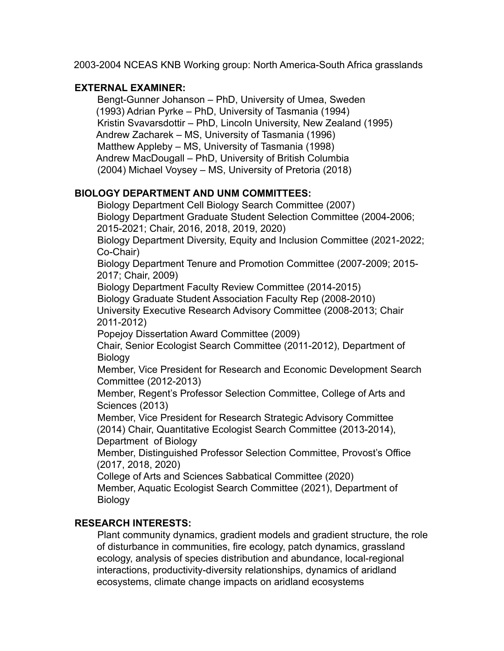2003-2004 NCEAS KNB Working group: North America-South Africa grasslands

## **EXTERNAL EXAMINER:**

Bengt-Gunner Johanson – PhD, University of Umea, Sweden (1993) Adrian Pyrke – PhD, University of Tasmania (1994) Kristin Svavarsdottir – PhD, Lincoln University, New Zealand (1995) Andrew Zacharek – MS, University of Tasmania (1996) Matthew Appleby – MS, University of Tasmania (1998) Andrew MacDougall – PhD, University of British Columbia (2004) Michael Voysey – MS, University of Pretoria (2018)

# **BIOLOGY DEPARTMENT AND UNM COMMITTEES:**

Biology Department Cell Biology Search Committee (2007) Biology Department Graduate Student Selection Committee (2004-2006; 2015-2021; Chair, 2016, 2018, 2019, 2020) Biology Department Diversity, Equity and Inclusion Committee (2021-2022; Co-Chair)

Biology Department Tenure and Promotion Committee (2007-2009; 2015- 2017; Chair, 2009)

Biology Department Faculty Review Committee (2014-2015)

Biology Graduate Student Association Faculty Rep (2008-2010)

University Executive Research Advisory Committee (2008-2013; Chair 2011-2012)

Popejoy Dissertation Award Committee (2009)

Chair, Senior Ecologist Search Committee (2011-2012), Department of Biology

Member, Vice President for Research and Economic Development Search Committee (2012-2013)

Member, Regent's Professor Selection Committee, College of Arts and Sciences (2013)

Member, Vice President for Research Strategic Advisory Committee (2014) Chair, Quantitative Ecologist Search Committee (2013-2014), Department of Biology

Member, Distinguished Professor Selection Committee, Provost's Office (2017, 2018, 2020)

College of Arts and Sciences Sabbatical Committee (2020) Member, Aquatic Ecologist Search Committee (2021), Department of Biology

# **RESEARCH INTERESTS:**

Plant community dynamics, gradient models and gradient structure, the role of disturbance in communities, fire ecology, patch dynamics, grassland ecology, analysis of species distribution and abundance, local-regional interactions, productivity-diversity relationships, dynamics of aridland ecosystems, climate change impacts on aridland ecosystems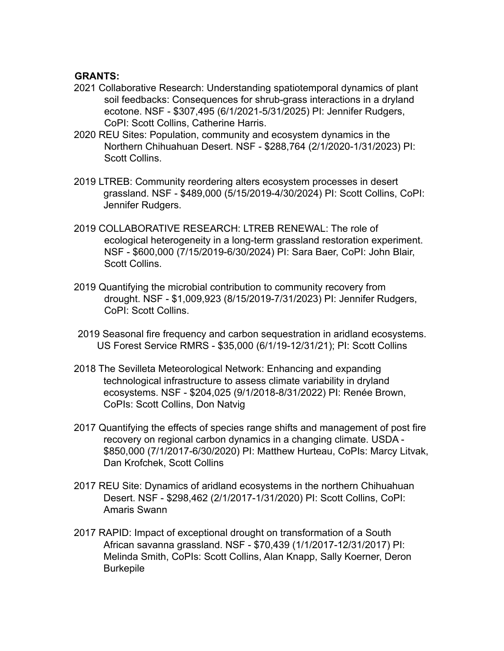#### **GRANTS:**

- 2021 Collaborative Research: Understanding spatiotemporal dynamics of plant soil feedbacks: Consequences for shrub-grass interactions in a dryland ecotone. NSF - \$307,495 (6/1/2021-5/31/2025) PI: Jennifer Rudgers, CoPI: Scott Collins, Catherine Harris.
- 2020 REU Sites: Population, community and ecosystem dynamics in the Northern Chihuahuan Desert. NSF - \$288,764 (2/1/2020-1/31/2023) PI: Scott Collins.
- 2019 LTREB: Community reordering alters ecosystem processes in desert grassland. NSF - \$489,000 (5/15/2019-4/30/2024) PI: Scott Collins, CoPI: Jennifer Rudgers.
- 2019 COLLABORATIVE RESEARCH: LTREB RENEWAL: The role of ecological heterogeneity in a long-term grassland restoration experiment. NSF - \$600,000 (7/15/2019-6/30/2024) PI: Sara Baer, CoPI: John Blair, Scott Collins.
- 2019 Quantifying the microbial contribution to community recovery from drought. NSF - \$1,009,923 (8/15/2019-7/31/2023) PI: Jennifer Rudgers, CoPI: Scott Collins.
- 2019 Seasonal fire frequency and carbon sequestration in aridland ecosystems. US Forest Service RMRS - \$35,000 (6/1/19-12/31/21); PI: Scott Collins
- 2018 The Sevilleta Meteorological Network: Enhancing and expanding technological infrastructure to assess climate variability in dryland ecosystems. NSF - \$204,025 (9/1/2018-8/31/2022) PI: Renée Brown, CoPIs: Scott Collins, Don Natvig
- 2017 Quantifying the effects of species range shifts and management of post fire recovery on regional carbon dynamics in a changing climate. USDA - \$850,000 (7/1/2017-6/30/2020) PI: Matthew Hurteau, CoPIs: Marcy Litvak, Dan Krofchek, Scott Collins
- 2017 REU Site: Dynamics of aridland ecosystems in the northern Chihuahuan Desert. NSF - \$298,462 (2/1/2017-1/31/2020) PI: Scott Collins, CoPI: Amaris Swann
- 2017 RAPID: Impact of exceptional drought on transformation of a South African savanna grassland. NSF - \$70,439 (1/1/2017-12/31/2017) PI: Melinda Smith, CoPIs: Scott Collins, Alan Knapp, Sally Koerner, Deron Burkepile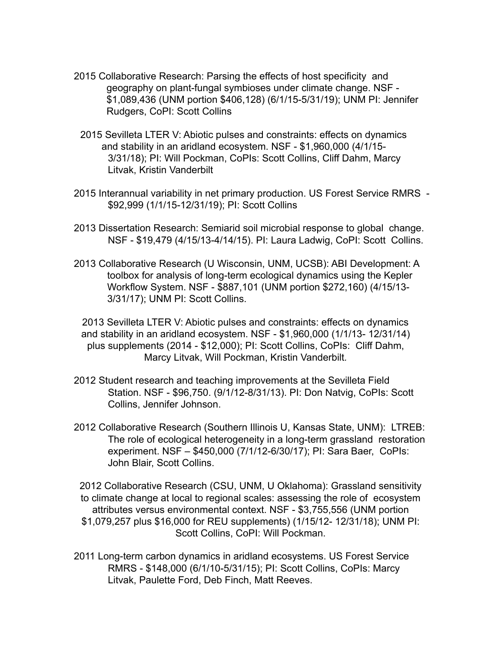- 2015 Collaborative Research: Parsing the effects of host specificity and geography on plant-fungal symbioses under climate change. NSF - \$1,089,436 (UNM portion \$406,128) (6/1/15-5/31/19); UNM PI: Jennifer Rudgers, CoPI: Scott Collins
- 2015 Sevilleta LTER V: Abiotic pulses and constraints: effects on dynamics and stability in an aridland ecosystem. NSF - \$1,960,000 (4/1/15- 3/31/18); PI: Will Pockman, CoPIs: Scott Collins, Cliff Dahm, Marcy Litvak, Kristin Vanderbilt
- 2015 Interannual variability in net primary production. US Forest Service RMRS \$92,999 (1/1/15-12/31/19); PI: Scott Collins
- 2013 Dissertation Research: Semiarid soil microbial response to global change. NSF - \$19,479 (4/15/13-4/14/15). PI: Laura Ladwig, CoPI: Scott Collins.
- 2013 Collaborative Research (U Wisconsin, UNM, UCSB): ABI Development: A toolbox for analysis of long-term ecological dynamics using the Kepler Workflow System. NSF - \$887,101 (UNM portion \$272,160) (4/15/13- 3/31/17); UNM PI: Scott Collins.

2013 Sevilleta LTER V: Abiotic pulses and constraints: effects on dynamics and stability in an aridland ecosystem. NSF - \$1,960,000 (1/1/13- 12/31/14) plus supplements (2014 - \$12,000); PI: Scott Collins, CoPIs: Cliff Dahm, Marcy Litvak, Will Pockman, Kristin Vanderbilt*.*

- 2012 Student research and teaching improvements at the Sevilleta Field Station. NSF - \$96,750. (9/1/12-8/31/13). PI: Don Natvig, CoPIs: Scott Collins, Jennifer Johnson.
- 2012 Collaborative Research (Southern Illinois U, Kansas State, UNM): LTREB: The role of ecological heterogeneity in a long-term grassland restoration experiment. NSF – \$450,000 (7/1/12-6/30/17); PI: Sara Baer, CoPIs: John Blair, Scott Collins.

2012 Collaborative Research (CSU, UNM, U Oklahoma): Grassland sensitivity to climate change at local to regional scales: assessing the role of ecosystem attributes versus environmental context. NSF - \$3,755,556 (UNM portion \$1,079,257 plus \$16,000 for REU supplements) (1/15/12- 12/31/18); UNM PI: Scott Collins, CoPI: Will Pockman.

2011 Long-term carbon dynamics in aridland ecosystems. US Forest Service RMRS - \$148,000 (6/1/10-5/31/15); PI: Scott Collins, CoPIs: Marcy Litvak, Paulette Ford, Deb Finch, Matt Reeves.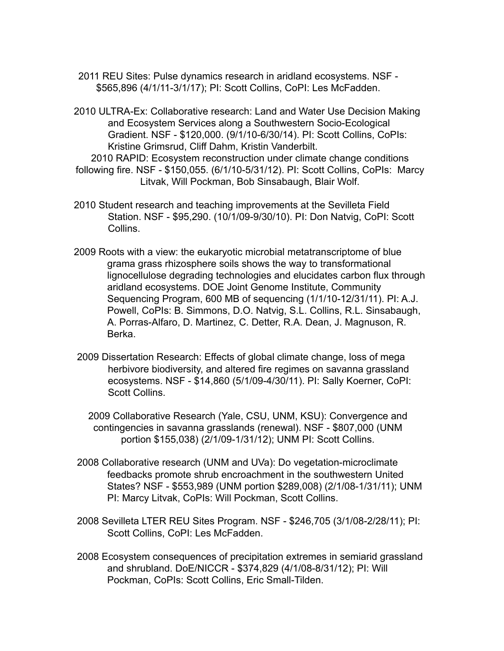- 2011 REU Sites: Pulse dynamics research in aridland ecosystems. NSF \$565,896 (4/1/11-3/1/17); PI: Scott Collins, CoPI: Les McFadden.
- 2010 ULTRA-Ex: Collaborative research: Land and Water Use Decision Making and Ecosystem Services along a Southwestern Socio-Ecological Gradient. NSF - \$120,000. (9/1/10-6/30/14). PI: Scott Collins, CoPIs: Kristine Grimsrud, Cliff Dahm, Kristin Vanderbilt.

2010 RAPID: Ecosystem reconstruction under climate change conditions following fire. NSF - \$150,055. (6/1/10-5/31/12). PI: Scott Collins, CoPIs: Marcy Litvak, Will Pockman, Bob Sinsabaugh, Blair Wolf.

- 2010 Student research and teaching improvements at the Sevilleta Field Station. NSF - \$95,290. (10/1/09-9/30/10). PI: Don Natvig, CoPI: Scott Collins.
- 2009 Roots with a view: the eukaryotic microbial metatranscriptome of blue grama grass rhizosphere soils shows the way to transformational lignocellulose degrading technologies and elucidates carbon flux through aridland ecosystems. DOE Joint Genome Institute, Community Sequencing Program, 600 MB of sequencing (1/1/10-12/31/11). PI: A.J. Powell, CoPIs: B. Simmons, D.O. Natvig, S.L. Collins, R.L. Sinsabaugh, A. Porras-Alfaro, D. Martinez, C. Detter, R.A. Dean, J. Magnuson, R. Berka.
- 2009 Dissertation Research: Effects of global climate change, loss of mega herbivore biodiversity, and altered fire regimes on savanna grassland ecosystems. NSF - \$14,860 (5/1/09-4/30/11). PI: Sally Koerner, CoPI: Scott Collins.

2009 Collaborative Research (Yale, CSU, UNM, KSU): Convergence and contingencies in savanna grasslands (renewal). NSF - \$807,000 (UNM portion \$155,038) (2/1/09-1/31/12); UNM PI: Scott Collins.

- 2008 Collaborative research (UNM and UVa): Do vegetation-microclimate feedbacks promote shrub encroachment in the southwestern United States? NSF - \$553,989 (UNM portion \$289,008) (2/1/08-1/31/11); UNM PI: Marcy Litvak, CoPIs: Will Pockman, Scott Collins.
- 2008 Sevilleta LTER REU Sites Program. NSF \$246,705 (3/1/08-2/28/11); PI: Scott Collins, CoPI: Les McFadden.
- 2008 Ecosystem consequences of precipitation extremes in semiarid grassland and shrubland. DoE/NICCR - \$374,829 (4/1/08-8/31/12); PI: Will Pockman, CoPIs: Scott Collins, Eric Small-Tilden.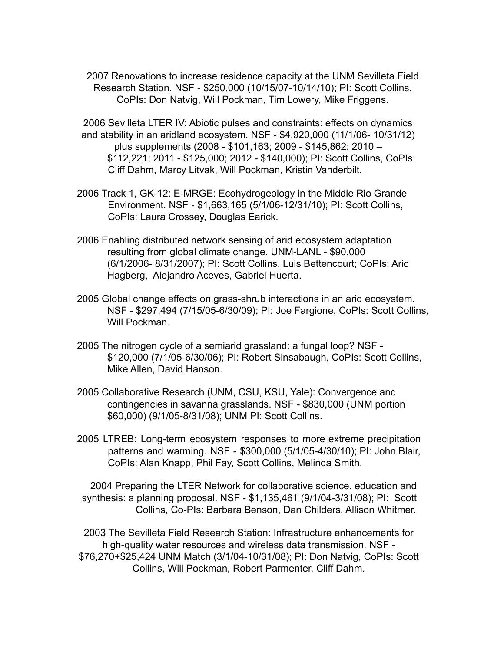2007 Renovations to increase residence capacity at the UNM Sevilleta Field Research Station. NSF - \$250,000 (10/15/07-10/14/10); PI: Scott Collins, CoPIs: Don Natvig, Will Pockman, Tim Lowery, Mike Friggens.

2006 Sevilleta LTER IV: Abiotic pulses and constraints: effects on dynamics and stability in an aridland ecosystem. NSF - \$4,920,000 (11/1/06- 10/31/12) plus supplements (2008 - \$101,163; 2009 - \$145,862; 2010 – \$112,221; 2011 - \$125,000; 2012 - \$140,000); PI: Scott Collins, CoPIs: Cliff Dahm, Marcy Litvak, Will Pockman, Kristin Vanderbilt*.*

- 2006 Track 1, GK-12: E-MRGE: Ecohydrogeology in the Middle Rio Grande Environment. NSF - \$1,663,165 (5/1/06-12/31/10); PI: Scott Collins, CoPIs: Laura Crossey, Douglas Earick.
- 2006 Enabling distributed network sensing of arid ecosystem adaptation resulting from global climate change. UNM-LANL - \$90,000 (6/1/2006- 8/31/2007); PI: Scott Collins, Luis Bettencourt; CoPIs: Aric Hagberg, Alejandro Aceves, Gabriel Huerta.
- 2005 Global change effects on grass-shrub interactions in an arid ecosystem. NSF - \$297,494 (7/15/05-6/30/09); PI: Joe Fargione, CoPIs: Scott Collins, Will Pockman.
- 2005 The nitrogen cycle of a semiarid grassland: a fungal loop? NSF \$120,000 (7/1/05-6/30/06); PI: Robert Sinsabaugh, CoPIs: Scott Collins, Mike Allen, David Hanson.
- 2005 Collaborative Research (UNM, CSU, KSU, Yale): Convergence and contingencies in savanna grasslands. NSF - \$830,000 (UNM portion \$60,000) (9/1/05-8/31/08); UNM PI: Scott Collins.
- 2005 LTREB: Long-term ecosystem responses to more extreme precipitation patterns and warming. NSF - \$300,000 (5/1/05-4/30/10); PI: John Blair, CoPIs: Alan Knapp, Phil Fay, Scott Collins, Melinda Smith.

2004 Preparing the LTER Network for collaborative science, education and synthesis: a planning proposal. NSF - \$1,135,461 (9/1/04-3/31/08); PI: Scott Collins, Co-PIs: Barbara Benson, Dan Childers, Allison Whitmer.

2003 The Sevilleta Field Research Station: Infrastructure enhancements for high-quality water resources and wireless data transmission. NSF - \$76,270+\$25,424 UNM Match (3/1/04-10/31/08); PI: Don Natvig, CoPIs: Scott Collins, Will Pockman, Robert Parmenter, Cliff Dahm.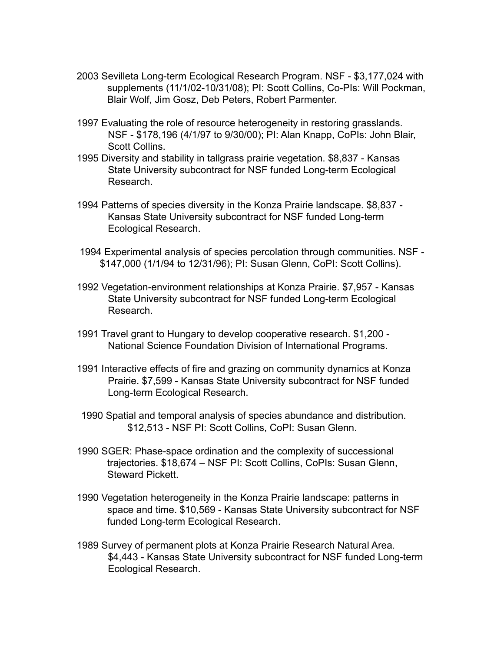- 2003 Sevilleta Long-term Ecological Research Program. NSF \$3,177,024 with supplements (11/1/02-10/31/08); PI: Scott Collins, Co-PIs: Will Pockman, Blair Wolf, Jim Gosz, Deb Peters, Robert Parmenter.
- 1997 Evaluating the role of resource heterogeneity in restoring grasslands. NSF - \$178,196 (4/1/97 to 9/30/00); PI: Alan Knapp, CoPIs: John Blair, Scott Collins.
- 1995 Diversity and stability in tallgrass prairie vegetation. \$8,837 Kansas State University subcontract for NSF funded Long-term Ecological Research.
- 1994 Patterns of species diversity in the Konza Prairie landscape. \$8,837 Kansas State University subcontract for NSF funded Long-term Ecological Research.
- 1994 Experimental analysis of species percolation through communities. NSF \$147,000 (1/1/94 to 12/31/96); PI: Susan Glenn, CoPI: Scott Collins).
- 1992 Vegetation-environment relationships at Konza Prairie. \$7,957 Kansas State University subcontract for NSF funded Long-term Ecological Research.
- 1991 Travel grant to Hungary to develop cooperative research. \$1,200 National Science Foundation Division of International Programs.
- 1991 Interactive effects of fire and grazing on community dynamics at Konza Prairie. \$7,599 - Kansas State University subcontract for NSF funded Long-term Ecological Research.
- 1990 Spatial and temporal analysis of species abundance and distribution. \$12,513 - NSF PI: Scott Collins, CoPI: Susan Glenn.
- 1990 SGER: Phase-space ordination and the complexity of successional trajectories. \$18,674 – NSF PI: Scott Collins, CoPIs: Susan Glenn, Steward Pickett.
- 1990 Vegetation heterogeneity in the Konza Prairie landscape: patterns in space and time. \$10,569 - Kansas State University subcontract for NSF funded Long-term Ecological Research.
- 1989 Survey of permanent plots at Konza Prairie Research Natural Area. \$4,443 - Kansas State University subcontract for NSF funded Long-term Ecological Research.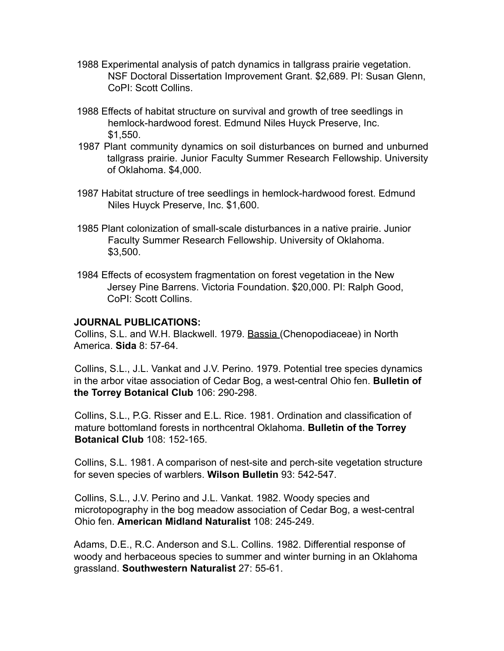- 1988 Experimental analysis of patch dynamics in tallgrass prairie vegetation. NSF Doctoral Dissertation Improvement Grant. \$2,689. PI: Susan Glenn, CoPI: Scott Collins.
- 1988 Effects of habitat structure on survival and growth of tree seedlings in hemlock-hardwood forest. Edmund Niles Huyck Preserve, Inc. \$1,550.
- 1987 Plant community dynamics on soil disturbances on burned and unburned tallgrass prairie. Junior Faculty Summer Research Fellowship. University of Oklahoma. \$4,000.
- 1987 Habitat structure of tree seedlings in hemlock-hardwood forest. Edmund Niles Huyck Preserve, Inc. \$1,600.
- 1985 Plant colonization of small-scale disturbances in a native prairie. Junior Faculty Summer Research Fellowship. University of Oklahoma. \$3,500.
- 1984 Effects of ecosystem fragmentation on forest vegetation in the New Jersey Pine Barrens. Victoria Foundation. \$20,000. PI: Ralph Good, CoPI: Scott Collins.

### **JOURNAL PUBLICATIONS:**

Collins, S.L. and W.H. Blackwell. 1979. Bassia (Chenopodiaceae) in North America. **Sida** 8: 57-64.

Collins, S.L., J.L. Vankat and J.V. Perino. 1979. Potential tree species dynamics in the arbor vitae association of Cedar Bog, a west-central Ohio fen. **Bulletin of the Torrey Botanical Club** 106: 290-298.

Collins, S.L., P.G. Risser and E.L. Rice. 1981. Ordination and classification of mature bottomland forests in northcentral Oklahoma. **Bulletin of the Torrey Botanical Club** 108: 152-165.

Collins, S.L. 1981. A comparison of nest-site and perch-site vegetation structure for seven species of warblers. **Wilson Bulletin** 93: 542-547.

Collins, S.L., J.V. Perino and J.L. Vankat. 1982. Woody species and microtopography in the bog meadow association of Cedar Bog, a west-central Ohio fen. **American Midland Naturalist** 108: 245-249.

Adams, D.E., R.C. Anderson and S.L. Collins. 1982. Differential response of woody and herbaceous species to summer and winter burning in an Oklahoma grassland. **Southwestern Naturalist** 27: 55-61.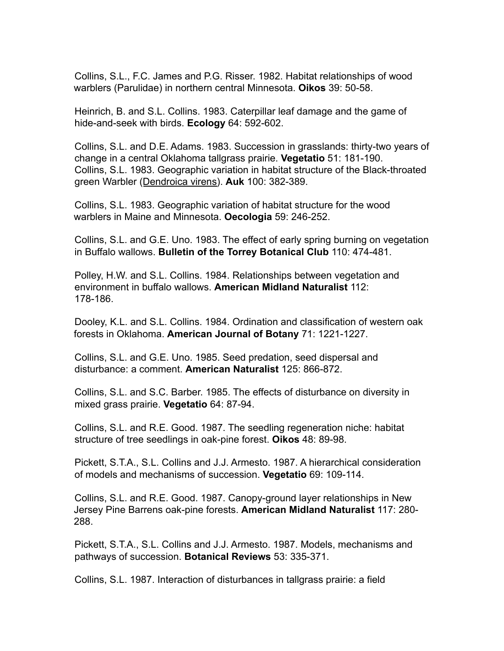Collins, S.L., F.C. James and P.G. Risser. 1982. Habitat relationships of wood warblers (Parulidae) in northern central Minnesota. **Oikos** 39: 50-58.

Heinrich, B. and S.L. Collins. 1983. Caterpillar leaf damage and the game of hide-and-seek with birds. **Ecology** 64: 592-602.

Collins, S.L. and D.E. Adams. 1983. Succession in grasslands: thirty-two years of change in a central Oklahoma tallgrass prairie. **Vegetatio** 51: 181-190. Collins, S.L. 1983. Geographic variation in habitat structure of the Black-throated green Warbler (Dendroica virens). **Auk** 100: 382-389.

Collins, S.L. 1983. Geographic variation of habitat structure for the wood warblers in Maine and Minnesota. **Oecologia** 59: 246-252.

Collins, S.L. and G.E. Uno. 1983. The effect of early spring burning on vegetation in Buffalo wallows. **Bulletin of the Torrey Botanical Club** 110: 474-481.

Polley, H.W. and S.L. Collins. 1984. Relationships between vegetation and environment in buffalo wallows. **American Midland Naturalist** 112: 178-186.

Dooley, K.L. and S.L. Collins. 1984. Ordination and classification of western oak forests in Oklahoma. **American Journal of Botany** 71: 1221-1227.

Collins, S.L. and G.E. Uno. 1985. Seed predation, seed dispersal and disturbance: a comment. **American Naturalist** 125: 866-872.

Collins, S.L. and S.C. Barber. 1985. The effects of disturbance on diversity in mixed grass prairie. **Vegetatio** 64: 87-94.

Collins, S.L. and R.E. Good. 1987. The seedling regeneration niche: habitat structure of tree seedlings in oak-pine forest. **Oikos** 48: 89-98.

Pickett, S.T.A., S.L. Collins and J.J. Armesto. 1987. A hierarchical consideration of models and mechanisms of succession. **Vegetatio** 69: 109-114.

Collins, S.L. and R.E. Good. 1987. Canopy-ground layer relationships in New Jersey Pine Barrens oak-pine forests. **American Midland Naturalist** 117: 280- 288.

Pickett, S.T.A., S.L. Collins and J.J. Armesto. 1987. Models, mechanisms and pathways of succession. **Botanical Reviews** 53: 335-371.

Collins, S.L. 1987. Interaction of disturbances in tallgrass prairie: a field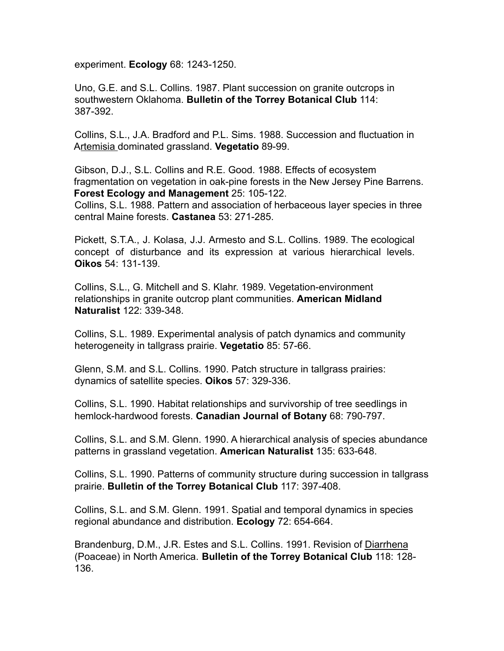experiment. **Ecology** 68: 1243-1250.

Uno, G.E. and S.L. Collins. 1987. Plant succession on granite outcrops in southwestern Oklahoma. **Bulletin of the Torrey Botanical Club** 114: 387-392.

Collins, S.L., J.A. Bradford and P.L. Sims. 1988. Succession and fluctuation in Artemisia dominated grassland. **Vegetatio** 89-99.

Gibson, D.J., S.L. Collins and R.E. Good. 1988. Effects of ecosystem fragmentation on vegetation in oak-pine forests in the New Jersey Pine Barrens. **Forest Ecology and Management** 25: 105-122.

Collins, S.L. 1988. Pattern and association of herbaceous layer species in three central Maine forests. **Castanea** 53: 271-285.

Pickett, S.T.A., J. Kolasa, J.J. Armesto and S.L. Collins. 1989. The ecological concept of disturbance and its expression at various hierarchical levels. **Oikos** 54: 131-139.

Collins, S.L., G. Mitchell and S. Klahr. 1989. Vegetation-environment relationships in granite outcrop plant communities. **American Midland Naturalist** 122: 339-348.

Collins, S.L. 1989. Experimental analysis of patch dynamics and community heterogeneity in tallgrass prairie. **Vegetatio** 85: 57-66.

Glenn, S.M. and S.L. Collins. 1990. Patch structure in tallgrass prairies: dynamics of satellite species. **Oikos** 57: 329-336.

Collins, S.L. 1990. Habitat relationships and survivorship of tree seedlings in hemlock-hardwood forests. **Canadian Journal of Botany** 68: 790-797.

Collins, S.L. and S.M. Glenn. 1990. A hierarchical analysis of species abundance patterns in grassland vegetation. **American Naturalist** 135: 633-648.

Collins, S.L. 1990. Patterns of community structure during succession in tallgrass prairie. **Bulletin of the Torrey Botanical Club** 117: 397-408.

Collins, S.L. and S.M. Glenn. 1991. Spatial and temporal dynamics in species regional abundance and distribution. **Ecology** 72: 654-664.

Brandenburg, D.M., J.R. Estes and S.L. Collins. 1991. Revision of Diarrhena (Poaceae) in North America. **Bulletin of the Torrey Botanical Club** 118: 128- 136.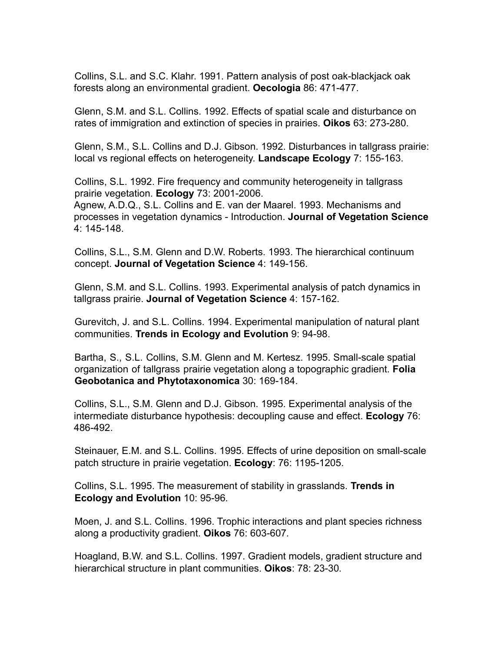Collins, S.L. and S.C. Klahr. 1991. Pattern analysis of post oak-blackjack oak forests along an environmental gradient. **Oecologia** 86: 471-477.

Glenn, S.M. and S.L. Collins. 1992. Effects of spatial scale and disturbance on rates of immigration and extinction of species in prairies. **Oikos** 63: 273-280.

Glenn, S.M., S.L. Collins and D.J. Gibson. 1992. Disturbances in tallgrass prairie: local vs regional effects on heterogeneity. **Landscape Ecology** 7: 155-163.

Collins, S.L. 1992. Fire frequency and community heterogeneity in tallgrass prairie vegetation. **Ecology** 73: 2001-2006.

Agnew, A.D.Q., S.L. Collins and E. van der Maarel. 1993. Mechanisms and processes in vegetation dynamics - Introduction. **Journal of Vegetation Science** 4: 145-148.

Collins, S.L., S.M. Glenn and D.W. Roberts. 1993. The hierarchical continuum concept. **Journal of Vegetation Science** 4: 149-156.

Glenn, S.M. and S.L. Collins. 1993. Experimental analysis of patch dynamics in tallgrass prairie. **Journal of Vegetation Science** 4: 157-162.

Gurevitch, J. and S.L. Collins. 1994. Experimental manipulation of natural plant communities. **Trends in Ecology and Evolution** 9: 94-98.

Bartha, S., S.L. Collins, S.M. Glenn and M. Kertesz. 1995. Small-scale spatial organization of tallgrass prairie vegetation along a topographic gradient. **Folia Geobotanica and Phytotaxonomica** 30: 169-184.

Collins, S.L., S.M. Glenn and D.J. Gibson. 1995. Experimental analysis of the intermediate disturbance hypothesis: decoupling cause and effect. **Ecology** 76: 486-492.

Steinauer, E.M. and S.L. Collins. 1995. Effects of urine deposition on small-scale patch structure in prairie vegetation. **Ecology**: 76: 1195-1205.

Collins, S.L. 1995. The measurement of stability in grasslands. **Trends in Ecology and Evolution** 10: 95-96*.*

Moen, J. and S.L. Collins. 1996. Trophic interactions and plant species richness along a productivity gradient. **Oikos** 76: 603-607*.*

Hoagland, B.W. and S.L. Collins. 1997. Gradient models, gradient structure and hierarchical structure in plant communities. **Oikos**: 78: 23-30*.*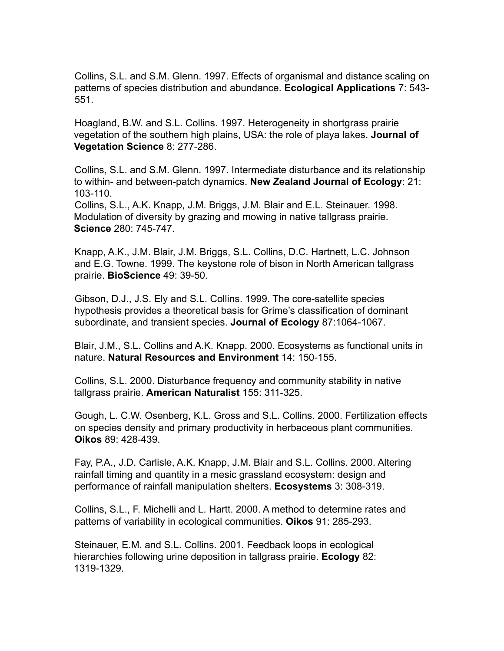Collins, S.L. and S.M. Glenn. 1997. Effects of organismal and distance scaling on patterns of species distribution and abundance. **Ecological Applications** 7: 543- 551*.*

Hoagland, B.W. and S.L. Collins. 1997. Heterogeneity in shortgrass prairie vegetation of the southern high plains, USA: the role of playa lakes. **Journal of Vegetation Science** 8: 277-286.

Collins, S.L. and S.M. Glenn. 1997. Intermediate disturbance and its relationship to within- and between-patch dynamics. **New Zealand Journal of Ecology**: 21: 103-110.

Collins, S.L., A.K. Knapp, J.M. Briggs, J.M. Blair and E.L. Steinauer. 1998. Modulation of diversity by grazing and mowing in native tallgrass prairie. **Science** 280: 745-747.

Knapp, A.K., J.M. Blair, J.M. Briggs, S.L. Collins, D.C. Hartnett, L.C. Johnson and E.G. Towne. 1999. The keystone role of bison in North American tallgrass prairie. **BioScience** 49: 39-50*.*

Gibson, D.J., J.S. Ely and S.L. Collins. 1999. The core-satellite species hypothesis provides a theoretical basis for Grime's classification of dominant subordinate, and transient species. **Journal of Ecology** 87:1064-1067.

Blair, J.M., S.L. Collins and A.K. Knapp. 2000. Ecosystems as functional units in nature. **Natural Resources and Environment** 14: 150-155.

Collins, S.L. 2000. Disturbance frequency and community stability in native tallgrass prairie. **American Naturalist** 155: 311-325.

Gough, L. C.W. Osenberg, K.L. Gross and S.L. Collins. 2000. Fertilization effects on species density and primary productivity in herbaceous plant communities. **Oikos** 89: 428-439.

Fay, P.A., J.D. Carlisle, A.K. Knapp, J.M. Blair and S.L. Collins. 2000. Altering rainfall timing and quantity in a mesic grassland ecosystem: design and performance of rainfall manipulation shelters. **Ecosystems** 3: 308-319.

Collins, S.L., F. Michelli and L. Hartt. 2000. A method to determine rates and patterns of variability in ecological communities. **Oikos** 91: 285-293.

Steinauer, E.M. and S.L. Collins. 2001. Feedback loops in ecological hierarchies following urine deposition in tallgrass prairie. **Ecology** 82: 1319-1329.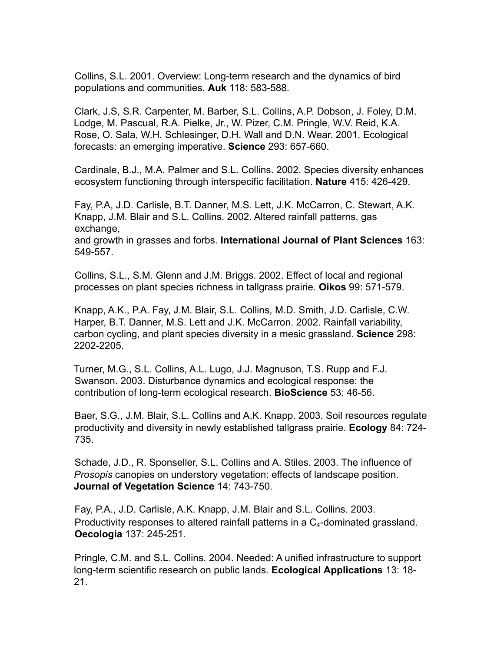Collins, S.L. 2001. Overview: Long-term research and the dynamics of bird populations and communities. **Auk** 118: 583-588*.*

Clark, J.S, S.R. Carpenter, M. Barber, S.L. Collins, A.P. Dobson, J. Foley, D.M. Lodge, M. Pascual, R.A. Pielke, Jr., W. Pizer, C.M. Pringle, W.V. Reid, K.A. Rose, O. Sala, W.H. Schlesinger, D.H. Wall and D.N. Wear. 2001. Ecological forecasts: an emerging imperative. **Science** 293: 657-660.

Cardinale, B.J., M.A. Palmer and S.L. Collins. 2002. Species diversity enhances ecosystem functioning through interspecific facilitation. **Nature** 415: 426-429.

Fay, P.A, J.D. Carlisle, B.T. Danner, M.S. Lett, J.K. McCarron, C. Stewart, A.K. Knapp, J.M. Blair and S.L. Collins. 2002. Altered rainfall patterns, gas exchange, and growth in grasses and forbs. **International Journal of Plant Sciences** 163: 549-557.

Collins, S.L., S.M. Glenn and J.M. Briggs. 2002. Effect of local and regional processes on plant species richness in tallgrass prairie. **Oikos** 99: 571-579.

Knapp, A.K., P.A. Fay, J.M. Blair, S.L. Collins, M.D. Smith, J.D. Carlisle, C.W. Harper, B.T. Danner, M.S. Lett and J.K. McCarron. 2002. Rainfall variability, carbon cycling, and plant species diversity in a mesic grassland. **Science** 298: 2202-2205.

Turner, M.G., S.L. Collins, A.L. Lugo, J.J. Magnuson, T.S. Rupp and F.J. Swanson. 2003. Disturbance dynamics and ecological response: the contribution of long-term ecological research. **BioScience** 53: 46-56.

Baer, S.G., J.M. Blair, S.L. Collins and A.K. Knapp. 2003. Soil resources regulate productivity and diversity in newly established tallgrass prairie. **Ecology** 84: 724- 735.

Schade, J.D., R. Sponseller, S.L. Collins and A. Stiles. 2003. The influence of *Prosopis* canopies on understory vegetation: effects of landscape position. **Journal of Vegetation Science** 14: 743-750.

Fay, P.A., J.D. Carlisle, A.K. Knapp, J.M. Blair and S.L. Collins. 2003. Productivity responses to altered rainfall patterns in a  $C_4$ -dominated grassland. **Oecologia** 137: 245-251.

Pringle, C.M. and S.L. Collins. 2004. Needed: A unified infrastructure to support long-term scientific research on public lands. **Ecological Applications** 13: 18- 21.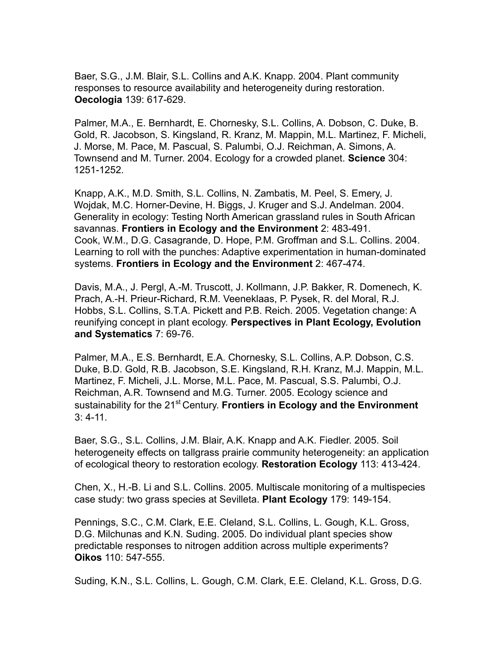Baer, S.G., J.M. Blair, S.L. Collins and A.K. Knapp. 2004. Plant community responses to resource availability and heterogeneity during restoration. **Oecologia** 139: 617-629.

Palmer, M.A., E. Bernhardt, E. Chornesky, S.L. Collins, A. Dobson, C. Duke, B. Gold, R. Jacobson, S. Kingsland, R. Kranz, M. Mappin, M.L. Martinez, F. Micheli, J. Morse, M. Pace, M. Pascual, S. Palumbi, O.J. Reichman, A. Simons, A. Townsend and M. Turner. 2004. Ecology for a crowded planet. **Science** 304: 1251-1252.

Knapp, A.K., M.D. Smith, S.L. Collins, N. Zambatis, M. Peel, S. Emery, J. Wojdak, M.C. Horner-Devine, H. Biggs, J. Kruger and S.J. Andelman. 2004. Generality in ecology: Testing North American grassland rules in South African savannas. **Frontiers in Ecology and the Environment** 2: 483-491. Cook, W.M., D.G. Casagrande, D. Hope, P.M. Groffman and S.L. Collins. 2004. Learning to roll with the punches: Adaptive experimentation in human-dominated systems. **Frontiers in Ecology and the Environment** 2: 467-474.

Davis, M.A., J. Pergl, A.-M. Truscott, J. Kollmann, J.P. Bakker, R. Domenech, K. Prach, A.-H. Prieur-Richard, R.M. Veeneklaas, P. Pysek, R. del Moral, R.J. Hobbs, S.L. Collins, S.T.A. Pickett and P.B. Reich. 2005. Vegetation change: A reunifying concept in plant ecology. **Perspectives in Plant Ecology, Evolution and Systematics** 7: 69-76.

Palmer, M.A., E.S. Bernhardt, E.A. Chornesky, S.L. Collins, A.P. Dobson, C.S. Duke, B.D. Gold, R.B. Jacobson, S.E. Kingsland, R.H. Kranz, M.J. Mappin, M.L. Martinez, F. Micheli, J.L. Morse, M.L. Pace, M. Pascual, S.S. Palumbi, O.J. Reichman, A.R. Townsend and M.G. Turner. 2005. Ecology science and sustainability for the 21<sup>st</sup> Century. **Frontiers in Ecology and the Environment** 3: 4-11.

Baer, S.G., S.L. Collins, J.M. Blair, A.K. Knapp and A.K. Fiedler. 2005. Soil heterogeneity effects on tallgrass prairie community heterogeneity: an application of ecological theory to restoration ecology. **Restoration Ecology** 113: 413-424.

Chen, X., H.-B. Li and S.L. Collins. 2005. Multiscale monitoring of a multispecies case study: two grass species at Sevilleta. **Plant Ecology** 179: 149-154.

Pennings, S.C., C.M. Clark, E.E. Cleland, S.L. Collins, L. Gough, K.L. Gross, D.G. Milchunas and K.N. Suding. 2005. Do individual plant species show predictable responses to nitrogen addition across multiple experiments? **Oikos** 110: 547-555.

Suding, K.N., S.L. Collins, L. Gough, C.M. Clark, E.E. Cleland, K.L. Gross, D.G.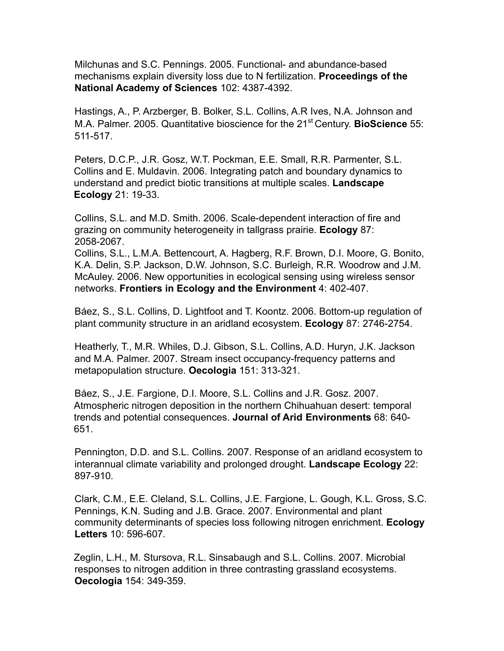Milchunas and S.C. Pennings. 2005. Functional- and abundance-based mechanisms explain diversity loss due to N fertilization. **Proceedings of the National Academy of Sciences** 102: 4387-4392.

Hastings, A., P. Arzberger, B. Bolker, S.L. Collins, A.R Ives, N.A. Johnson and M.A. Palmer. 2005. Quantitative bioscience for the 21<sup>st</sup> Century. BioScience 55: 511-517.

Peters, D.C.P., J.R. Gosz, W.T. Pockman, E.E. Small, R.R. Parmenter, S.L. Collins and E. Muldavin. 2006. Integrating patch and boundary dynamics to understand and predict biotic transitions at multiple scales. **Landscape Ecology** 21: 19-33.

Collins, S.L. and M.D. Smith. 2006. Scale-dependent interaction of fire and grazing on community heterogeneity in tallgrass prairie. **Ecology** 87: 2058-2067.

Collins, S.L., L.M.A. Bettencourt, A. Hagberg, R.F. Brown, D.I. Moore, G. Bonito, K.A. Delin, S.P. Jackson, D.W. Johnson, S.C. Burleigh, R.R. Woodrow and J.M. McAuley. 2006. New opportunities in ecological sensing using wireless sensor networks. **Frontiers in Ecology and the Environment** 4: 402-407.

Báez, S., S.L. Collins, D. Lightfoot and T. Koontz. 2006. Bottom-up regulation of plant community structure in an aridland ecosystem. **Ecology** 87: 2746-2754.

Heatherly, T., M.R. Whiles, D.J. Gibson, S.L. Collins, A.D. Huryn, J.K. Jackson and M.A. Palmer. 2007. Stream insect occupancy-frequency patterns and metapopulation structure. **Oecologia** 151: 313-321.

Báez, S., J.E. Fargione, D.I. Moore, S.L. Collins and J.R. Gosz. 2007. Atmospheric nitrogen deposition in the northern Chihuahuan desert: temporal trends and potential consequences. **Journal of Arid Environments** 68: 640- 651.

Pennington, D.D. and S.L. Collins. 2007. Response of an aridland ecosystem to interannual climate variability and prolonged drought. **Landscape Ecology** 22: 897-910*.*

Clark, C.M., E.E. Cleland, S.L. Collins, J.E. Fargione, L. Gough, K.L. Gross, S.C. Pennings, K.N. Suding and J.B. Grace. 2007. Environmental and plant community determinants of species loss following nitrogen enrichment. **Ecology Letters** 10: 596-607*.*

Zeglin, L.H., M. Stursova, R.L. Sinsabaugh and S.L. Collins. 2007. Microbial responses to nitrogen addition in three contrasting grassland ecosystems. **Oecologia** 154: 349-359.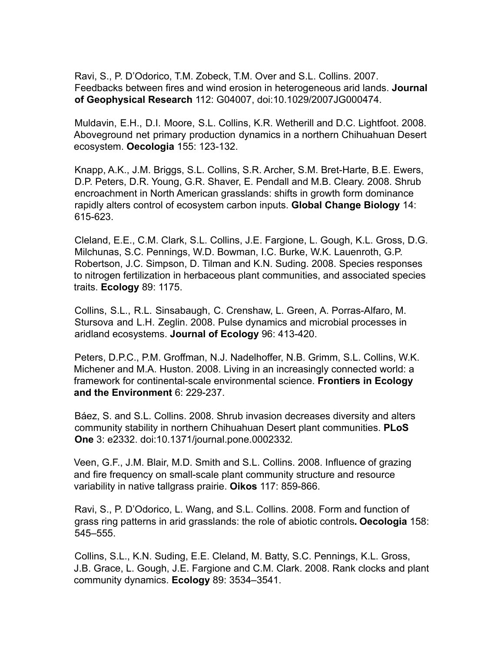Ravi, S., P. D'Odorico, T.M. Zobeck, T.M. Over and S.L. Collins. 2007. Feedbacks between fires and wind erosion in heterogeneous arid lands. **Journal of Geophysical Research** 112: G04007, doi:10.1029/2007JG000474.

Muldavin, E.H., D.I. Moore, S.L. Collins, K.R. Wetherill and D.C. Lightfoot. 2008. Aboveground net primary production dynamics in a northern Chihuahuan Desert ecosystem. **Oecologia** 155: 123-132.

Knapp, A.K., J.M. Briggs, S.L. Collins, S.R. Archer, S.M. Bret-Harte, B.E. Ewers, D.P. Peters, D.R. Young, G.R. Shaver, E. Pendall and M.B. Cleary. 2008. Shrub encroachment in North American grasslands: shifts in growth form dominance rapidly alters control of ecosystem carbon inputs. **Global Change Biology** 14: 615-623.

Cleland, E.E., C.M. Clark, S.L. Collins, J.E. Fargione, L. Gough, K.L. Gross, D.G. Milchunas, S.C. Pennings, W.D. Bowman, I.C. Burke, W.K. Lauenroth, G.P. Robertson, J.C. Simpson, D. Tilman and K.N. Suding. 2008. Species responses to nitrogen fertilization in herbaceous plant communities, and associated species traits. **Ecology** 89: 1175.

Collins, S.L., R.L. Sinsabaugh, C. Crenshaw, L. Green, A. Porras-Alfaro, M. Stursova and L.H. Zeglin. 2008. Pulse dynamics and microbial processes in aridland ecosystems. **Journal of Ecology** 96: 413-420.

Peters, D.P.C., P.M. Groffman, N.J. Nadelhoffer, N.B. Grimm, S.L. Collins, W.K. Michener and M.A. Huston. 2008. Living in an increasingly connected world: a framework for continental-scale environmental science. **Frontiers in Ecology and the Environment** 6: 229-237.

Báez, S. and S.L. Collins. 2008. Shrub invasion decreases diversity and alters community stability in northern Chihuahuan Desert plant communities. **PLoS One** 3: e2332. doi:10.1371/journal.pone.0002332*.*

Veen, G.F., J.M. Blair, M.D. Smith and S.L. Collins. 2008. Influence of grazing and fire frequency on small-scale plant community structure and resource variability in native tallgrass prairie. **Oikos** 117: 859-866.

Ravi, S., P. D'Odorico, L. Wang, and S.L. Collins. 2008. Form and function of grass ring patterns in arid grasslands: the role of abiotic controls**. Oecologia** 158: 545–555.

Collins, S.L., K.N. Suding, E.E. Cleland, M. Batty, S.C. Pennings, K.L. Gross, J.B. Grace, L. Gough, J.E. Fargione and C.M. Clark. 2008. Rank clocks and plant community dynamics. **Ecology** 89: 3534–3541.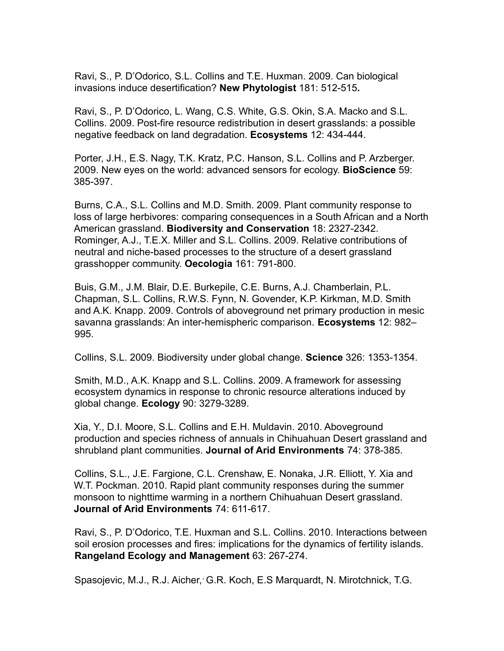Ravi, S., P. D'Odorico, S.L. Collins and T.E. Huxman. 2009. Can biological invasions induce desertification? **New Phytologist** 181: 512-515**.**

Ravi, S., P. D'Odorico, L. Wang, C.S. White, G.S. Okin, S.A. Macko and S.L. Collins. 2009. Post-fire resource redistribution in desert grasslands: a possible negative feedback on land degradation. **Ecosystems** 12: 434-444*.*

Porter, J.H., E.S. Nagy, T.K. Kratz, P.C. Hanson, S.L. Collins and P. Arzberger. 2009. New eyes on the world: advanced sensors for ecology. **BioScience** 59: 385-397.

Burns, C.A., S.L. Collins and M.D. Smith. 2009. Plant community response to loss of large herbivores: comparing consequences in a South African and a North American grassland. **Biodiversity and Conservation** 18: 2327-2342. Rominger, A.J., T.E.X. Miller and S.L. Collins. 2009. Relative contributions of neutral and niche-based processes to the structure of a desert grassland grasshopper community. **Oecologia** 161: 791-800.

Buis, G.M., J.M. Blair, D.E. Burkepile, C.E. Burns, A.J. Chamberlain, P.L. Chapman, S.L. Collins, R.W.S. Fynn, N. Govender, K.P. Kirkman, M.D. Smith and A.K. Knapp. 2009. Controls of aboveground net primary production in mesic savanna grasslands: An inter-hemispheric comparison. **Ecosystems** 12: 982– 995.

Collins, S.L. 2009. Biodiversity under global change. **Science** 326: 1353-1354.

Smith, M.D., A.K. Knapp and S.L. Collins. 2009. A framework for assessing ecosystem dynamics in response to chronic resource alterations induced by global change. **Ecology** 90: 3279-3289.

Xia, Y., D.I. Moore, S.L. Collins and E.H. Muldavin. 2010. Aboveground production and species richness of annuals in Chihuahuan Desert grassland and shrubland plant communities. **Journal of Arid Environments** 74: 378-385.

Collins, S.L., J.E. Fargione, C.L. Crenshaw, E. Nonaka, J.R. Elliott, Y. Xia and W.T. Pockman. 2010. Rapid plant community responses during the summer monsoon to nighttime warming in a northern Chihuahuan Desert grassland. **Journal of Arid Environments** 74: 611-617.

Ravi, S., P. D'Odorico, T.E. Huxman and S.L. Collins. 2010. Interactions between soil erosion processes and fires: implications for the dynamics of fertility islands. **Rangeland Ecology and Management** 63: 267-274.

Spasojevic, M.J., R.J. Aicher, G.R. Koch, E.S Marquardt, N. Mirotchnick, T.G.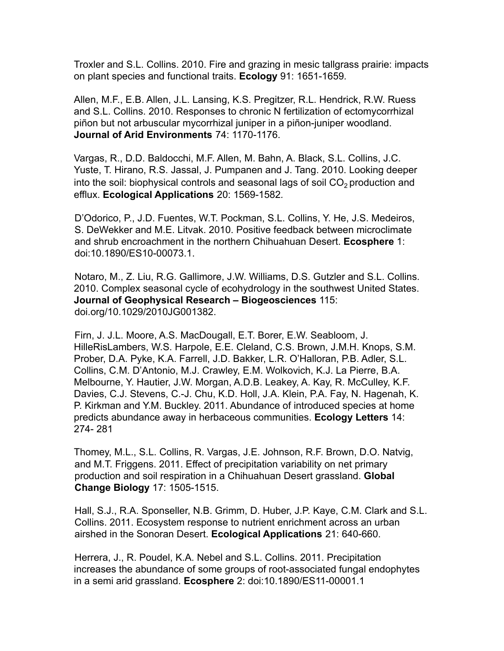Troxler and S.L. Collins. 2010. Fire and grazing in mesic tallgrass prairie: impacts on plant species and functional traits. **Ecology** 91: 1651-1659*.*

Allen, M.F., E.B. Allen, J.L. Lansing, K.S. Pregitzer, R.L. Hendrick, R.W. Ruess and S.L. Collins. 2010. Responses to chronic N fertilization of ectomycorrhizal piñon but not arbuscular mycorrhizal juniper in a piñon-juniper woodland. **Journal of Arid Environments** 74: 1170-1176.

Vargas, R., D.D. Baldocchi, M.F. Allen, M. Bahn, A. Black, S.L. Collins, J.C. Yuste, T. Hirano, R.S. Jassal, J. Pumpanen and J. Tang. 2010. Looking deeper into the soil: biophysical controls and seasonal lags of soil  $CO<sub>2</sub>$  production and efflux. **Ecological Applications** 20: 1569-1582*.*

D'Odorico, P., J.D. Fuentes, W.T. Pockman, S.L. Collins, Y. He, J.S. Medeiros, S. DeWekker and M.E. Litvak. 2010. Positive feedback between microclimate and shrub encroachment in the northern Chihuahuan Desert. **Ecosphere** 1: doi:10.1890/ES10-00073.1.

Notaro, M., Z. Liu, R.G. Gallimore, J.W. Williams, D.S. Gutzler and S.L. Collins. 2010. Complex seasonal cycle of ecohydrology in the southwest United States. **Journal of Geophysical Research – Biogeosciences** 115: doi.org/10.1029/2010JG001382.

Firn, J. J.L. Moore, A.S. MacDougall, E.T. Borer, E.W. Seabloom, J. HilleRisLambers, W.S. Harpole, E.E. Cleland, C.S. Brown, J.M.H. Knops, S.M. Prober, D.A. Pyke, K.A. Farrell, J.D. Bakker, L.R. O'Halloran, P.B. Adler, S.L. Collins, C.M. D'Antonio, M.J. Crawley, E.M. Wolkovich, K.J. La Pierre, B.A. Melbourne, Y. Hautier, J.W. Morgan, A.D.B. Leakey, A. Kay, R. McCulley, K.F. Davies, C.J. Stevens, C.-J. Chu, K.D. Holl, J.A. Klein, P.A. Fay, N. Hagenah, K. P. Kirkman and Y.M. Buckley. 2011. Abundance of introduced species at home predicts abundance away in herbaceous communities. **Ecology Letters** 14: 274- 281

Thomey, M.L., S.L. Collins, R. Vargas, J.E. Johnson, R.F. Brown, D.O. Natvig, and M.T. Friggens. 2011. Effect of precipitation variability on net primary production and soil respiration in a Chihuahuan Desert grassland. **Global Change Biology** 17: 1505-1515.

Hall, S.J., R.A. Sponseller, N.B. Grimm, D. Huber, J.P. Kaye, C.M. Clark and S.L. Collins. 2011. Ecosystem response to nutrient enrichment across an urban airshed in the Sonoran Desert. **Ecological Applications** 21: 640-660.

Herrera, J., R. Poudel, K.A. Nebel and S.L. Collins. 2011. Precipitation increases the abundance of some groups of root-associated fungal endophytes in a semi arid grassland. **Ecosphere** 2: doi:10.1890/ES11-00001.1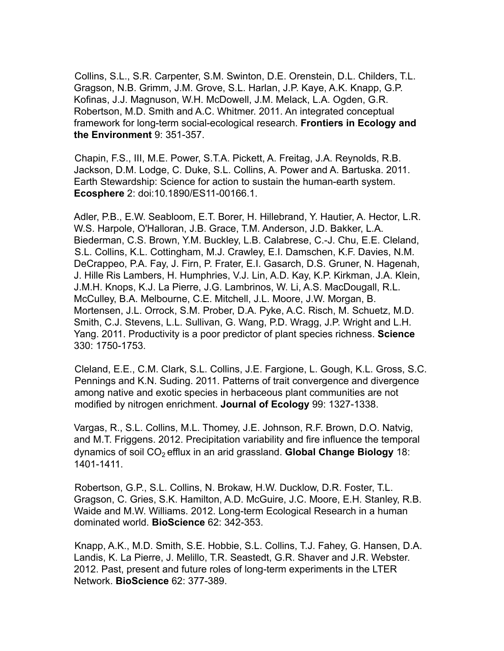Collins, S.L., S.R. Carpenter, S.M. Swinton, D.E. Orenstein, D.L. Childers, T.L. Gragson, N.B. Grimm, J.M. Grove, S.L. Harlan, J.P. Kaye, A.K. Knapp, G.P. Kofinas, J.J. Magnuson, W.H. McDowell, J.M. Melack, L.A. Ogden, G.R. Robertson, M.D. Smith and A.C. Whitmer. 2011. An integrated conceptual framework for long-term social-ecological research. **Frontiers in Ecology and the Environment** 9: 351-357.

Chapin, F.S., III, M.E. Power, S.T.A. Pickett, A. Freitag, J.A. Reynolds, R.B. Jackson, D.M. Lodge, C. Duke, S.L. Collins, A. Power and A. Bartuska. 2011. Earth Stewardship: Science for action to sustain the human-earth system. **Ecosphere** 2: doi:10.1890/ES11-00166.1.

Adler, P.B., E.W. Seabloom, E.T. Borer, H. Hillebrand, Y. Hautier, A. Hector, L.R. W.S. Harpole, O'Halloran, J.B. Grace, T.M. Anderson, J.D. Bakker, L.A. Biederman, C.S. Brown, Y.M. Buckley, L.B. Calabrese, C.-J. Chu, E.E. Cleland, S.L. Collins, K.L. Cottingham, M.J. Crawley, E.I. Damschen, K.F. Davies, N.M. DeCrappeo, P.A. Fay, J. Firn, P. Frater, E.I. Gasarch, D.S. Gruner, N. Hagenah, J. Hille Ris Lambers, H. Humphries, V.J. Lin, A.D. Kay, K.P. Kirkman, J.A. Klein, J.M.H. Knops, K.J. La Pierre, J.G. Lambrinos, W. Li, A.S. MacDougall, R.L. McCulley, B.A. Melbourne, C.E. Mitchell, J.L. Moore, J.W. Morgan, B. Mortensen, J.L. Orrock, S.M. Prober, D.A. Pyke, A.C. Risch, M. Schuetz, M.D. Smith, C.J. Stevens, L.L. Sullivan, G. Wang, P.D. Wragg, J.P. Wright and L.H. Yang. 2011. Productivity is a poor predictor of plant species richness. **Science** 330: 1750-1753.

Cleland, E.E., C.M. Clark, S.L. Collins, J.E. Fargione, L. Gough, K.L. Gross, S.C. Pennings and K.N. Suding. 2011. Patterns of trait convergence and divergence among native and exotic species in herbaceous plant communities are not modified by nitrogen enrichment. **Journal of Ecology** 99: 1327-1338.

Vargas, R., S.L. Collins, M.L. Thomey, J.E. Johnson, R.F. Brown, D.O. Natvig, and M.T. Friggens. 2012. Precipitation variability and fire influence the temporal dynamics of soil CO<sub>2</sub> efflux in an arid grassland. **Global Change Biology** 18: 1401-1411.

Robertson, G.P., S.L. Collins, N. Brokaw, H.W. Ducklow, D.R. Foster, T.L. Gragson, C. Gries, S.K. Hamilton, A.D. McGuire, J.C. Moore, E.H. Stanley, R.B. Waide and M.W. Williams. 2012. Long-term Ecological Research in a human dominated world. **BioScience** 62: 342-353.

Knapp, A.K., M.D. Smith, S.E. Hobbie, S.L. Collins, T.J. Fahey, G. Hansen, D.A. Landis, K. La Pierre, J. Melillo, T.R. Seastedt, G.R. Shaver and J.R. Webster. 2012. Past, present and future roles of long-term experiments in the LTER Network. **BioScience** 62: 377-389.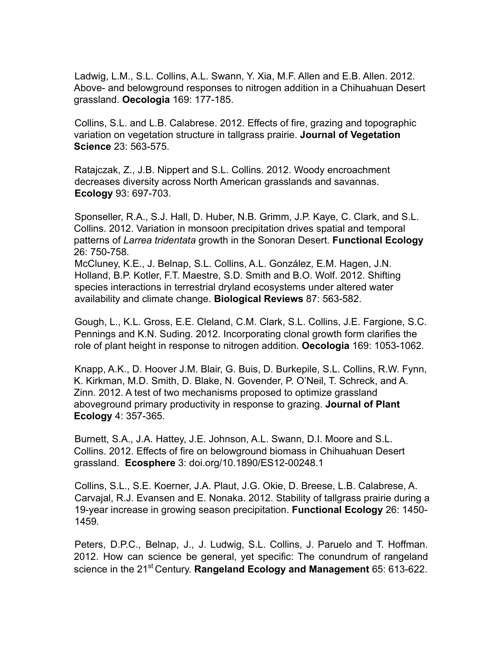Ladwig, L.M., S.L. Collins, A.L. Swann, Y. Xia, M.F. Allen and E.B. Allen. 2012. Above- and belowground responses to nitrogen addition in a Chihuahuan Desert grassland. **Oecologia** 169: 177-185.

Collins, S.L. and L.B. Calabrese. 2012. Effects of fire, grazing and topographic variation on vegetation structure in tallgrass prairie. **Journal of Vegetation Science** 23: 563-575.

Ratajczak, Z., J.B. Nippert and S.L. Collins. 2012. Woody encroachment decreases diversity across North American grasslands and savannas. **Ecology** 93: 697-703.

Sponseller, R.A., S.J. Hall, D. Huber, N.B. Grimm, J.P. Kaye, C. Clark, and S.L. Collins. 2012. Variation in monsoon precipitation drives spatial and temporal patterns of *Larrea tridentata* growth in the Sonoran Desert. **Functional Ecology** 26: 750-758*.*

McCluney, K.E., J. Belnap, S.L. Collins, A.L. González, E.M. Hagen, J.N. Holland, B.P. Kotler, F.T. Maestre, S.D. Smith and B.O. Wolf. 2012. Shifting species interactions in terrestrial dryland ecosystems under altered water availability and climate change. **Biological Reviews** 87: 563-582.

Gough, L., K.L. Gross, E.E. Cleland, C.M. Clark, S.L. Collins, J.E. Fargione, S.C. Pennings and K.N. Suding. 2012. Incorporating clonal growth form clarifies the role of plant height in response to nitrogen addition. **Oecologia** 169: 1053-1062*.*

Knapp, A.K., D. Hoover J.M. Blair, G. Buis, D. Burkepile, S.L. Collins, R.W. Fynn, K. Kirkman, M.D. Smith, D. Blake, N. Govender, P. O'Neil, T. Schreck, and A. Zinn. 2012. A test of two mechanisms proposed to optimize grassland aboveground primary productivity in response to grazing. **Journal of Plant Ecology** 4: 357-365*.*

Burnett, S.A., J.A. Hattey, J.E. Johnson, A.L. Swann, D.I. Moore and S.L. Collins. 2012. Effects of fire on belowground biomass in Chihuahuan Desert grassland. **Ecosphere** 3: doi.org/10.1890/ES12-00248.1

Collins, S.L., S.E. Koerner, J.A. Plaut, J.G. Okie, D. Breese, L.B. Calabrese, A. Carvajal, R.J. Evansen and E. Nonaka. 2012. Stability of tallgrass prairie during a 19-year increase in growing season precipitation. **Functional Ecology** 26: 1450- 1459*.*

Peters, D.P.C., Belnap, J., J. Ludwig, S.L. Collins, J. Paruelo and T. Hoffman. 2012. How can science be general, yet specific: The conundrum of rangeland science in the 21st Century. **Rangeland Ecology and Management** 65: 613-622.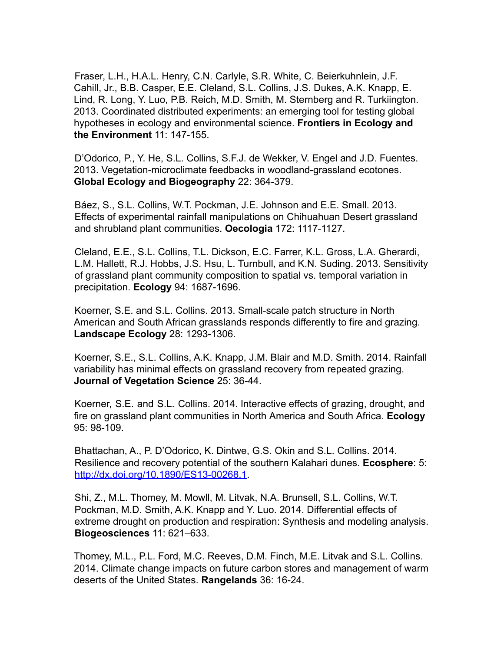Fraser, L.H., H.A.L. Henry, C.N. Carlyle, S.R. White, C. Beierkuhnlein, J.F. Cahill, Jr., B.B. Casper, E.E. Cleland, S.L. Collins, J.S. Dukes, A.K. Knapp, E. Lind, R. Long, Y. Luo, P.B. Reich, M.D. Smith, M. Sternberg and R. Turkiington. 2013. Coordinated distributed experiments: an emerging tool for testing global hypotheses in ecology and environmental science. **Frontiers in Ecology and the Environment** 11: 147-155.

D'Odorico, P., Y. He, S.L. Collins, S.F.J. de Wekker, V. Engel and J.D. Fuentes. 2013. Vegetation-microclimate feedbacks in woodland-grassland ecotones. **Global Ecology and Biogeography** 22: 364-379.

Báez, S., S.L. Collins, W.T. Pockman, J.E. Johnson and E.E. Small. 2013. Effects of experimental rainfall manipulations on Chihuahuan Desert grassland and shrubland plant communities. **Oecologia** 172: 1117-1127.

Cleland, E.E., S.L. Collins, T.L. Dickson, E.C. Farrer, K.L. Gross, L.A. Gherardi, L.M. Hallett, R.J. Hobbs, J.S. Hsu, L. Turnbull, and K.N. Suding. 2013. Sensitivity of grassland plant community composition to spatial vs. temporal variation in precipitation. **Ecology** 94: 1687-1696.

Koerner, S.E. and S.L. Collins. 2013. Small-scale patch structure in North American and South African grasslands responds differently to fire and grazing. **Landscape Ecology** 28: 1293-1306.

Koerner, S.E., S.L. Collins, A.K. Knapp, J.M. Blair and M.D. Smith. 2014. Rainfall variability has minimal effects on grassland recovery from repeated grazing. **Journal of Vegetation Science** 25: 36-44.

Koerner, S.E. and S.L. Collins. 2014. Interactive effects of grazing, drought, and fire on grassland plant communities in North America and South Africa. **Ecology** 95: 98-109.

Bhattachan, A., P. D'Odorico, K. Dintwe, G.S. Okin and S.L. Collins. 2014. Resilience and recovery potential of the southern Kalahari dunes. **Ecosphere**: 5: http://dx.doi.org/10.1890/ES13-00268.1.

Shi, Z., M.L. Thomey, M. Mowll, M. Litvak, N.A. Brunsell, S.L. Collins, W.T. Pockman, M.D. Smith, A.K. Knapp and Y. Luo. 2014. Differential effects of extreme drought on production and respiration: Synthesis and modeling analysis. **Biogeosciences** 11: 621–633.

Thomey, M.L., P.L. Ford, M.C. Reeves, D.M. Finch, M.E. Litvak and S.L. Collins. 2014. Climate change impacts on future carbon stores and management of warm deserts of the United States. **Rangelands** 36: 16-24.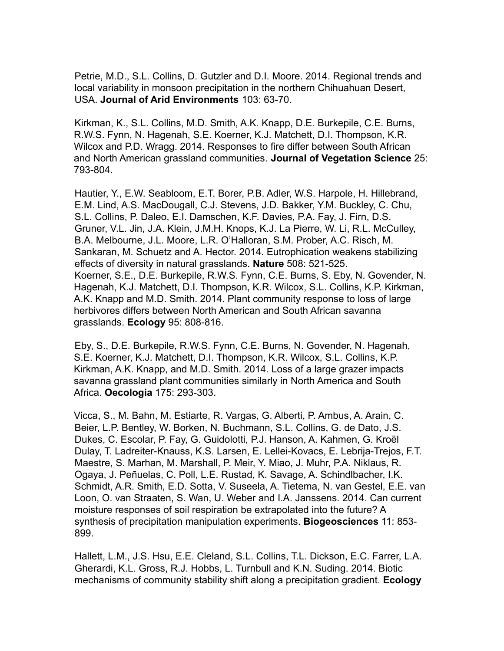Petrie, M.D., S.L. Collins, D. Gutzler and D.I. Moore. 2014. Regional trends and local variability in monsoon precipitation in the northern Chihuahuan Desert, USA. **Journal of Arid Environments** 103: 63-70.

Kirkman, K., S.L. Collins, M.D. Smith, A.K. Knapp, D.E. Burkepile, C.E. Burns, R.W.S. Fynn, N. Hagenah, S.E. Koerner, K.J. Matchett, D.I. Thompson, K.R. Wilcox and P.D. Wragg. 2014. Responses to fire differ between South African and North American grassland communities. **Journal of Vegetation Science** 25: 793-804.

Hautier, Y., E.W. Seabloom, E.T. Borer, P.B. Adler, W.S. Harpole, H. Hillebrand, E.M. Lind, A.S. MacDougall, C.J. Stevens, J.D. Bakker, Y.M. Buckley, C. Chu, S.L. Collins, P. Daleo, E.I. Damschen, K.F. Davies, P.A. Fay, J. Firn, D.S. Gruner, V.L. Jin, J.A. Klein, J.M.H. Knops, K.J. La Pierre, W. Li, R.L. McCulley, B.A. Melbourne, J.L. Moore, L.R. O'Halloran, S.M. Prober, A.C. Risch, M. Sankaran, M. Schuetz and A. Hector. 2014. Eutrophication weakens stabilizing effects of diversity in natural grasslands. **Nature** 508: 521-525. Koerner, S.E., D.E. Burkepile, R.W.S. Fynn, C.E. Burns, S. Eby, N. Govender, N. Hagenah, K.J. Matchett, D.I. Thompson, K.R. Wilcox, S.L. Collins, K.P. Kirkman, A.K. Knapp and M.D. Smith. 2014. Plant community response to loss of large herbivores differs between North American and South African savanna grasslands. **Ecology** 95: 808-816.

Eby, S., D.E. Burkepile, R.W.S. Fynn, C.E. Burns, N. Govender, N. Hagenah, S.E. Koerner, K.J. Matchett, D.I. Thompson, K.R. Wilcox, S.L. Collins, K.P. Kirkman, A.K. Knapp, and M.D. Smith. 2014. Loss of a large grazer impacts savanna grassland plant communities similarly in North America and South Africa. **Oecologia** 175: 293-303.

Vicca, S., M. Bahn, M. Estiarte, R. Vargas, G. Alberti, P. Ambus, A. Arain, C. Beier, L.P. Bentley, W. Borken, N. Buchmann, S.L. Collins, G. de Dato, J.S. Dukes, C. Escolar, P. Fay, G. Guidolotti, P.J. Hanson, A. Kahmen, G. Kroël Dulay, T. Ladreiter-Knauss, K.S. Larsen, E. Lellei-Kovacs, E. Lebrija-Trejos, F.T. Maestre, S. Marhan, M. Marshall, P. Meir, Y. Miao, J. Muhr, P.A. Niklaus, R. Ogaya, J. Peñuelas, C. Poll, L.E. Rustad, K. Savage, A. Schindlbacher, I.K. Schmidt, A.R. Smith, E.D. Sotta, V. Suseela, A. Tietema, N. van Gestel, E.E. van Loon, O. van Straaten, S. Wan, U. Weber and I.A. Janssens. 2014. Can current moisture responses of soil respiration be extrapolated into the future? A synthesis of precipitation manipulation experiments. **Biogeosciences** 11: 853- 899.

Hallett, L.M., J.S. Hsu, E.E. Cleland, S.L. Collins, T.L. Dickson, E.C. Farrer, L.A. Gherardi, K.L. Gross, R.J. Hobbs, L. Turnbull and K.N. Suding. 2014. Biotic mechanisms of community stability shift along a precipitation gradient. **Ecology**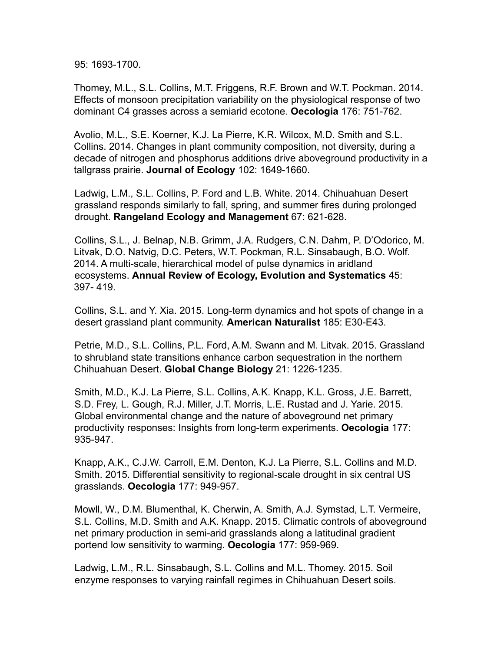95: 1693-1700.

Thomey, M.L., S.L. Collins, M.T. Friggens, R.F. Brown and W.T. Pockman. 2014. Effects of monsoon precipitation variability on the physiological response of two dominant C4 grasses across a semiarid ecotone. **Oecologia** 176: 751-762.

Avolio, M.L., S.E. Koerner, K.J. La Pierre, K.R. Wilcox, M.D. Smith and S.L. Collins. 2014. Changes in plant community composition, not diversity, during a decade of nitrogen and phosphorus additions drive aboveground productivity in a tallgrass prairie. **Journal of Ecology** 102: 1649-1660.

Ladwig, L.M., S.L. Collins, P. Ford and L.B. White. 2014. Chihuahuan Desert grassland responds similarly to fall, spring, and summer fires during prolonged drought. **Rangeland Ecology and Management** 67: 621-628.

Collins, S.L., J. Belnap, N.B. Grimm, J.A. Rudgers, C.N. Dahm, P. D'Odorico, M. Litvak, D.O. Natvig, D.C. Peters, W.T. Pockman, R.L. Sinsabaugh, B.O. Wolf. 2014. A multi-scale, hierarchical model of pulse dynamics in aridland ecosystems. **Annual Review of Ecology, Evolution and Systematics** 45: 397- 419.

Collins, S.L. and Y. Xia. 2015. Long-term dynamics and hot spots of change in a desert grassland plant community. **American Naturalist** 185: E30-E43.

Petrie, M.D., S.L. Collins, P.L. Ford, A.M. Swann and M. Litvak. 2015. Grassland to shrubland state transitions enhance carbon sequestration in the northern Chihuahuan Desert. **Global Change Biology** 21: 1226-1235.

Smith, M.D., K.J. La Pierre, S.L. Collins, A.K. Knapp, K.L. Gross, J.E. Barrett, S.D. Frey, L. Gough, R.J. Miller, J.T. Morris, L.E. Rustad and J. Yarie. 2015. Global environmental change and the nature of aboveground net primary productivity responses: Insights from long-term experiments. **Oecologia** 177: 935-947.

Knapp, A.K., C.J.W. Carroll, E.M. Denton, K.J. La Pierre, S.L. Collins and M.D. Smith. 2015. Differential sensitivity to regional-scale drought in six central US grasslands. **Oecologia** 177: 949-957.

Mowll, W., D.M. Blumenthal, K. Cherwin, A. Smith, A.J. Symstad, L.T. Vermeire, S.L. Collins, M.D. Smith and A.K. Knapp. 2015. Climatic controls of aboveground net primary production in semi-arid grasslands along a latitudinal gradient portend low sensitivity to warming. **Oecologia** 177: 959-969.

Ladwig, L.M., R.L. Sinsabaugh, S.L. Collins and M.L. Thomey. 2015. Soil enzyme responses to varying rainfall regimes in Chihuahuan Desert soils.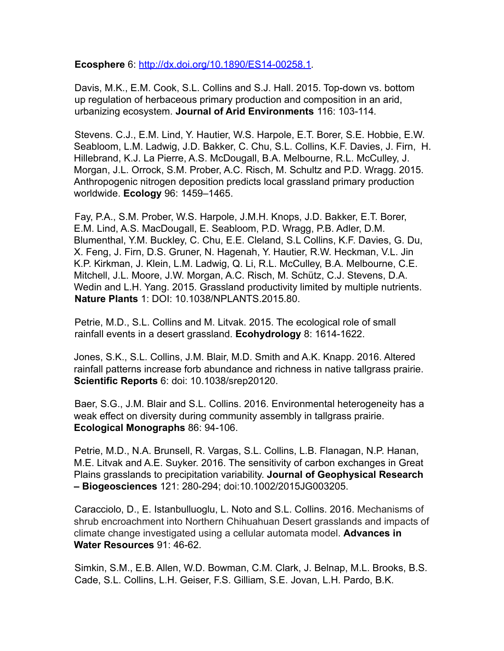**Ecosphere** 6: http://dx.doi.org/10.1890/ES14-00258.1*.*

Davis, M.K., E.M. Cook, S.L. Collins and S.J. Hall. 2015. Top-down vs. bottom up regulation of herbaceous primary production and composition in an arid, urbanizing ecosystem. **Journal of Arid Environments** 116: 103-114*.*

Stevens. C.J., E.M. Lind, Y. Hautier, W.S. Harpole, E.T. Borer, S.E. Hobbie, E.W. Seabloom, L.M. Ladwig, J.D. Bakker, C. Chu, S.L. Collins, K.F. Davies, J. Firn, H. Hillebrand, K.J. La Pierre, A.S. McDougall, B.A. Melbourne, R.L. McCulley, J. Morgan, J.L. Orrock, S.M. Prober, A.C. Risch, M. Schultz and P.D. Wragg. 2015. Anthropogenic nitrogen deposition predicts local grassland primary production worldwide. **Ecology** 96: 1459–1465.

Fay, P.A., S.M. Prober, W.S. Harpole, J.M.H. Knops, J.D. Bakker, E.T. Borer, E.M. Lind, A.S. MacDougall, E. Seabloom, P.D. Wragg, P.B. Adler, D.M. Blumenthal, Y.M. Buckley, C. Chu, E.E. Cleland, S.L Collins, K.F. Davies, G. Du, X. Feng, J. Firn, D.S. Gruner, N. Hagenah, Y. Hautier, R.W. Heckman, V.L. Jin K.P. Kirkman, J. Klein, L.M. Ladwig, Q. Li, R.L. McCulley, B.A. Melbourne, C.E. Mitchell, J.L. Moore, J.W. Morgan, A.C. Risch, M. Schütz, C.J. Stevens, D.A. Wedin and L.H. Yang. 2015. Grassland productivity limited by multiple nutrients. **Nature Plants** 1: DOI: 10.1038/NPLANTS.2015.80.

Petrie, M.D., S.L. Collins and M. Litvak. 2015. The ecological role of small rainfall events in a desert grassland. **Ecohydrology** 8: 1614-1622.

Jones, S.K., S.L. Collins, J.M. Blair, M.D. Smith and A.K. Knapp. 2016. Altered rainfall patterns increase forb abundance and richness in native tallgrass prairie. **Scientific Reports** 6: doi: 10.1038/srep20120.

Baer, S.G., J.M. Blair and S.L. Collins. 2016. Environmental heterogeneity has a weak effect on diversity during community assembly in tallgrass prairie. **Ecological Monographs** 86: 94-106.

Petrie, M.D., N.A. Brunsell, R. Vargas, S.L. Collins, L.B. Flanagan, N.P. Hanan, M.E. Litvak and A.E. Suyker. 2016. The sensitivity of carbon exchanges in Great Plains grasslands to precipitation variability. **Journal of Geophysical Research – Biogeosciences** 121: 280-294; doi:10.1002/2015JG003205.

Caracciolo, D., E. Istanbulluoglu, L. Noto and S.L. Collins. 2016. Mechanisms of shrub encroachment into Northern Chihuahuan Desert grasslands and impacts of climate change investigated using a cellular automata model. **Advances in Water Resources** 91: 46-62.

Simkin, S.M., E.B. Allen, W.D. Bowman, C.M. Clark, J. Belnap, M.L. Brooks, B.S. Cade, S.L. Collins, L.H. Geiser, F.S. Gilliam, S.E. Jovan, L.H. Pardo, B.K.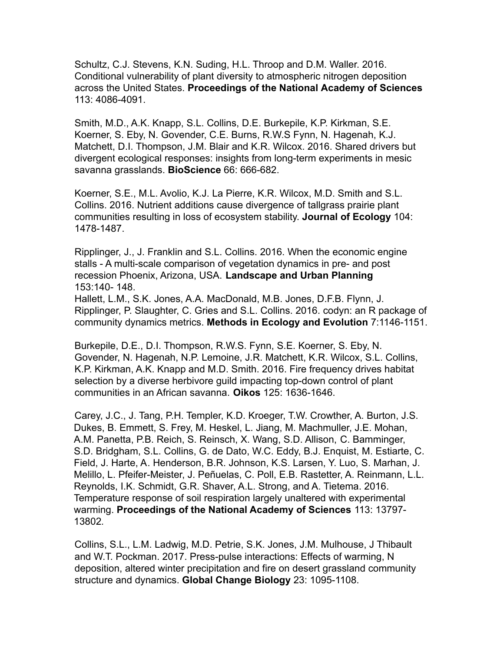Schultz, C.J. Stevens, K.N. Suding, H.L. Throop and D.M. Waller. 2016. Conditional vulnerability of plant diversity to atmospheric nitrogen deposition across the United States. **Proceedings of the National Academy of Sciences** 113: 4086-4091.

Smith, M.D., A.K. Knapp, S.L. Collins, D.E. Burkepile, K.P. Kirkman, S.E. Koerner, S. Eby, N. Govender, C.E. Burns, R.W.S Fynn, N. Hagenah, K.J. Matchett, D.I. Thompson, J.M. Blair and K.R. Wilcox. 2016. Shared drivers but divergent ecological responses: insights from long-term experiments in mesic savanna grasslands. **BioScience** 66: 666-682.

Koerner, S.E., M.L. Avolio, K.J. La Pierre, K.R. Wilcox, M.D. Smith and S.L. Collins. 2016. Nutrient additions cause divergence of tallgrass prairie plant communities resulting in loss of ecosystem stability. **Journal of Ecology** 104: 1478-1487.

Ripplinger, J., J. Franklin and S.L. Collins. 2016. When the economic engine stalls - A multi-scale comparison of vegetation dynamics in pre- and post recession Phoenix, Arizona, USA. **Landscape and Urban Planning** 153:140- 148.

Hallett, L.M., S.K. Jones, A.A. MacDonald, M.B. Jones, D.F.B. Flynn, J. Ripplinger, P. Slaughter, C. Gries and S.L. Collins. 2016. codyn: an R package of community dynamics metrics. **Methods in Ecology and Evolution** 7:1146-1151.

Burkepile, D.E., D.I. Thompson, R.W.S. Fynn, S.E. Koerner, S. Eby, N. Govender, N. Hagenah, N.P. Lemoine, J.R. Matchett, K.R. Wilcox, S.L. Collins, K.P. Kirkman, A.K. Knapp and M.D. Smith. 2016. Fire frequency drives habitat selection by a diverse herbivore guild impacting top-down control of plant communities in an African savanna. **Oikos** 125: 1636-1646.

Carey, J.C., J. Tang, P.H. Templer, K.D. Kroeger, T.W. Crowther, A. Burton, J.S. Dukes, B. Emmett, S. Frey, M. Heskel, L. Jiang, M. Machmuller, J.E. Mohan, A.M. Panetta, P.B. Reich, S. Reinsch, X. Wang, S.D. Allison, C. Bamminger, S.D. Bridgham, S.L. Collins, G. de Dato, W.C. Eddy, B.J. Enquist, M. Estiarte, C. Field, J. Harte, A. Henderson, B.R. Johnson, K.S. Larsen, Y. Luo, S. Marhan, J. Melillo, L. Pfeifer-Meister, J. Peñuelas, C. Poll, E.B. Rastetter, A. Reinmann, L.L. Reynolds, I.K. Schmidt, G.R. Shaver, A.L. Strong, and A. Tietema. 2016. Temperature response of soil respiration largely unaltered with experimental warming. **Proceedings of the National Academy of Sciences** 113: 13797- 13802*.*

Collins, S.L., L.M. Ladwig, M.D. Petrie, S.K. Jones, J.M. Mulhouse, J Thibault and W.T. Pockman. 2017. Press-pulse interactions: Effects of warming, N deposition, altered winter precipitation and fire on desert grassland community structure and dynamics. **Global Change Biology** 23: 1095-1108.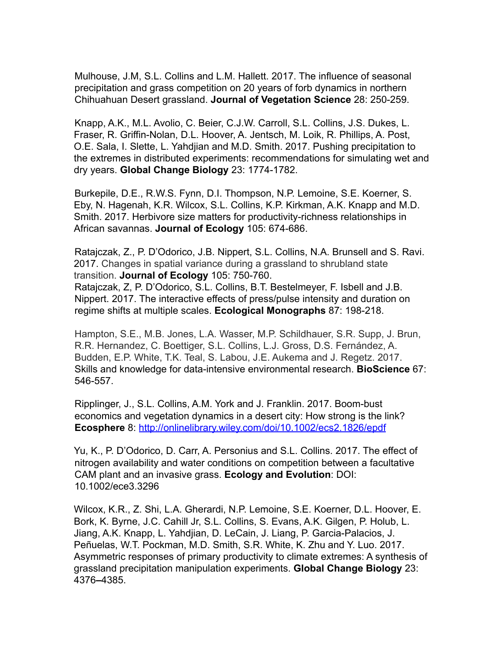Mulhouse, J.M, S.L. Collins and L.M. Hallett. 2017. The influence of seasonal precipitation and grass competition on 20 years of forb dynamics in northern Chihuahuan Desert grassland. **Journal of Vegetation Science** 28: 250-259.

Knapp, A.K., M.L. Avolio, C. Beier, C.J.W. Carroll, S.L. Collins, J.S. Dukes, L. Fraser, R. Griffin-Nolan, D.L. Hoover, A. Jentsch, M. Loik, R. Phillips, A. Post, O.E. Sala, I. Slette, L. Yahdjian and M.D. Smith. 2017. Pushing precipitation to the extremes in distributed experiments: recommendations for simulating wet and dry years. **Global Change Biology** 23: 1774-1782.

Burkepile, D.E., R.W.S. Fynn, D.I. Thompson, N.P. Lemoine, S.E. Koerner, S. Eby, N. Hagenah, K.R. Wilcox, S.L. Collins, K.P. Kirkman, A.K. Knapp and M.D. Smith. 2017. Herbivore size matters for productivity-richness relationships in African savannas. **Journal of Ecology** 105: 674-686.

Ratajczak, Z., P. D'Odorico, J.B. Nippert, S.L. Collins, N.A. Brunsell and S. Ravi. 2017. Changes in spatial variance during a grassland to shrubland state transition. **Journal of Ecology** 105: 750-760.

Ratajczak, Z, P. D'Odorico, S.L. Collins, B.T. Bestelmeyer, F. Isbell and J.B. Nippert. 2017. The interactive effects of press/pulse intensity and duration on regime shifts at multiple scales. **Ecological Monographs** 87: 198-218.

Hampton, S.E., M.B. Jones, L.A. Wasser, M.P. Schildhauer, S.R. Supp, J. Brun, R.R. Hernandez, C. Boettiger, S.L. Collins, L.J. Gross, D.S. Fernández, A. Budden, E.P. White, T.K. Teal, S. Labou, J.E. Aukema and J. Regetz. 2017. Skills and knowledge for data-intensive environmental research. **BioScience** 67: 546-557.

Ripplinger, J., S.L. Collins, A.M. York and J. Franklin. 2017. Boom-bust economics and vegetation dynamics in a desert city: How strong is the link? **Ecosphere** 8: http://onlinelibrary.wiley.com/doi/10.1002/ecs2.1826/epdf

Yu, K., P. D'Odorico, D. Carr, A. Personius and S.L. Collins. 2017. The effect of nitrogen availability and water conditions on competition between a facultative CAM plant and an invasive grass. **Ecology and Evolution**: DOI: 10.1002/ece3.3296

Wilcox, K.R., Z. Shi, L.A. Gherardi, N.P. Lemoine, S.E. Koerner, D.L. Hoover, E. Bork, K. Byrne, J.C. Cahill Jr, S.L. Collins, S. Evans, A.K. Gilgen, P. Holub, L. Jiang, A.K. Knapp, L. Yahdjian, D. LeCain, J. Liang, P. Garcia-Palacios, J. Peñuelas, W.T. Pockman, M.D. Smith, S.R. White, K. Zhu and Y. Luo. 2017. Asymmetric responses of primary productivity to climate extremes: A synthesis of grassland precipitation manipulation experiments. **Global Change Biology** 23: 4376**–**4385.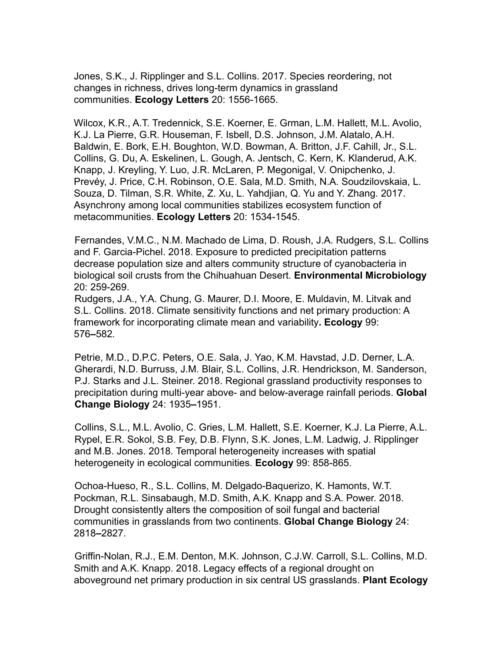Jones, S.K., J. Ripplinger and S.L. Collins. 2017. Species reordering, not changes in richness, drives long-term dynamics in grassland communities. **Ecology Letters** 20: 1556-1665.

Wilcox, K.R., A.T. Tredennick, S.E. Koerner, E. Grman, L.M. Hallett, M.L. Avolio, K.J. La Pierre, G.R. Houseman, F. Isbell, D.S. Johnson, J.M. Alatalo, A.H. Baldwin, E. Bork, E.H. Boughton, W.D. Bowman, A. Britton, J.F. Cahill, Jr., S.L. Collins, G. Du, A. Eskelinen, L. Gough, A. Jentsch, C. Kern, K. Klanderud, A.K. Knapp, J. Kreyling, Y. Luo, J.R. McLaren, P. Megonigal, V. Onipchenko, J. Prevéy, J. Price, C.H. Robinson, O.E. Sala, M.D. Smith, N.A. Soudzilovskaia, L. Souza, D. Tilman, S.R. White, Z. Xu, L. Yahdjian, Q. Yu and Y. Zhang. 2017. Asynchrony among local communities stabilizes ecosystem function of metacommunities. **Ecology Letters** 20: 1534-1545.

Fernandes, V.M.C., N.M. Machado de Lima, D. Roush, J.A. Rudgers, S.L. Collins and F. Garcia-Pichel. 2018. Exposure to predicted precipitation patterns decrease population size and alters community structure of cyanobacteria in biological soil crusts from the Chihuahuan Desert. **Environmental Microbiology** 20: 259-269.

Rudgers, J.A., Y.A. Chung, G. Maurer, D.I. Moore, E. Muldavin, M. Litvak and S.L. Collins. 2018. Climate sensitivity functions and net primary production: A framework for incorporating climate mean and variability**. Ecology** 99: 576**–**582*.*

Petrie, M.D., D.P.C. Peters, O.E. Sala, J. Yao, K.M. Havstad, J.D. Derner, L.A. Gherardi, N.D. Burruss, J.M. Blair, S.L. Collins, J.R. Hendrickson, M. Sanderson, P.J. Starks and J.L. Steiner. 2018. Regional grassland productivity responses to precipitation during multi-year above- and below-average rainfall periods. **Global Change Biology** 24: 1935**–**1951.

Collins, S.L., M.L. Avolio, C. Gries, L.M. Hallett, S.E. Koerner, K.J. La Pierre, A.L. Rypel, E.R. Sokol, S.B. Fey, D.B. Flynn, S.K. Jones, L.M. Ladwig, J. Ripplinger and M.B. Jones. 2018. Temporal heterogeneity increases with spatial heterogeneity in ecological communities. **Ecology** 99: 858-865.

Ochoa-Hueso, R., S.L. Collins, M. Delgado-Baquerizo, K. Hamonts, W.T. Pockman, R.L. Sinsabaugh, M.D. Smith, A.K. Knapp and S.A. Power. 2018. Drought consistently alters the composition of soil fungal and bacterial communities in grasslands from two continents. **Global Change Biology** 24: 2818**–**2827.

Griffin-Nolan, R.J., E.M. Denton, M.K. Johnson, C.J.W. Carroll, S.L. Collins, M.D. Smith and A.K. Knapp. 2018. Legacy effects of a regional drought on aboveground net primary production in six central US grasslands. **Plant Ecology**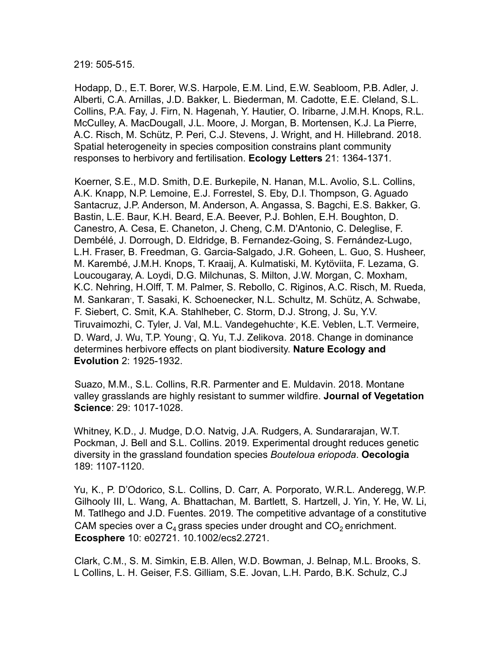219: 505-515.

Hodapp, D., E.T. Borer, W.S. Harpole, E.M. Lind, E.W. Seabloom, P.B. Adler, J. Alberti, C.A. Arnillas, J.D. Bakker, L. Biederman, M. Cadotte, E.E. Cleland, S.L. Collins, P.A. Fay, J. Firn, N. Hagenah, Y. Hautier, O. Iribarne, J.M.H. Knops, R.L. McCulley, A. MacDougall, J.L. Moore, J. Morgan, B. Mortensen, K.J. La Pierre, A.C. Risch, M. Schütz, P. Peri, C.J. Stevens, J. Wright, and H. Hillebrand. 2018. Spatial heterogeneity in species composition constrains plant community responses to herbivory and fertilisation. **Ecology Letters** 21: 1364-1371*.*

Koerner, S.E., M.D. Smith, D.E. Burkepile, N. Hanan, M.L. Avolio, S.L. Collins, A.K. Knapp, N.P. Lemoine, E.J. Forrestel, S. Eby, D.I. Thompson, G. Aguado Santacruz, J.P. Anderson, M. Anderson, A. Angassa, S. Bagchi, E.S. Bakker, G. Bastin, L.E. Baur, K.H. Beard, E.A. Beever, P.J. Bohlen, E.H. Boughton, D. Canestro, A. Cesa, E. Chaneton, J. Cheng, C.M. D'Antonio, C. Deleglise, F. Dembélé, J. Dorrough, D. Eldridge, B. Fernandez-Going, S. Fernández-Lugo, L.H. Fraser, B. Freedman, G. Garcia-Salgado, J.R. Goheen, L. Guo, S. Husheer, M. Karembé, J.M.H. Knops, T. Kraaij, A. Kulmatiski, M. Kytöviita, F. Lezama, G. Loucougaray, A. Loydi, D.G. Milchunas, S. Milton, J.W. Morgan, C. Moxham, K.C. Nehring, H.Olff, T. M. Palmer, S. Rebollo, C. Riginos, A.C. Risch, M. Rueda, M. Sankaran<sup>,</sup>, T. Sasaki, K. Schoenecker, N.L. Schultz, M. Schütz, A. Schwabe, F. Siebert, C. Smit, K.A. Stahlheber, C. Storm, D.J. Strong, J. Su, Y.V. Tiruvaimozhi, C. Tyler, J. Val, M.L. Vandegehuchte<sup>,</sup>, K.E. Veblen, L.T. Vermeire, D. Ward, J. Wu, T.P. Young<sup>,</sup>, Q. Yu, T.J. Zelikova. 2018. Change in dominance determines herbivore effects on plant biodiversity. **Nature Ecology and Evolution** 2: 1925-1932.

Suazo, M.M., S.L. Collins, R.R. Parmenter and E. Muldavin. 2018. Montane valley grasslands are highly resistant to summer wildfire. **Journal of Vegetation Science**: 29: 1017-1028.

Whitney, K.D., J. Mudge, D.O. Natvig, J.A. Rudgers, A. Sundararajan, W.T. Pockman, J. Bell and S.L. Collins. 2019. Experimental drought reduces genetic diversity in the grassland foundation species *Bouteloua eriopoda*. **Oecologia** 189: 1107-1120.

Yu, K., P. D'Odorico, S.L. Collins, D. Carr, A. Porporato, W.R.L. Anderegg, W.P. Gilhooly III, L. Wang, A. Bhattachan, M. Bartlett, S. Hartzell, J. Yin, Y. He, W. Li, M. Tatlhego and J.D. Fuentes. 2019. The competitive advantage of a constitutive CAM species over a  $C_4$  grass species under drought and  $CO_2$  enrichment. **Ecosphere** 10: e02721. 10.1002/ecs2.2721.

Clark, C.M., S. M. Simkin, E.B. Allen, W.D. Bowman, J. Belnap, M.L. Brooks, S. L Collins, L. H. Geiser, F.S. Gilliam, S.E. Jovan, L.H. Pardo, B.K. Schulz, C.J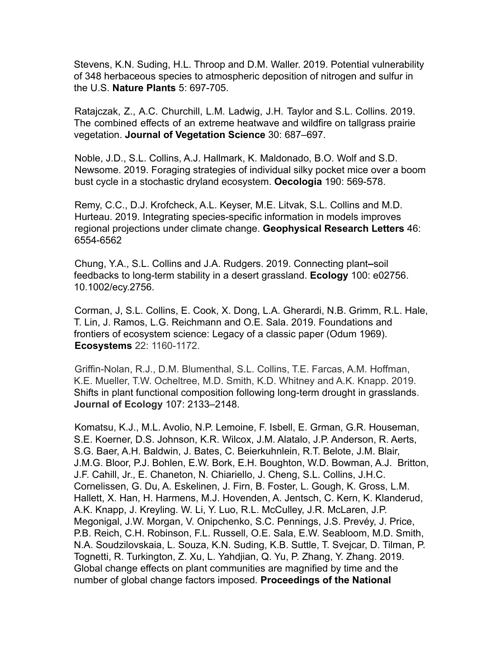Stevens, K.N. Suding, H.L. Throop and D.M. Waller. 2019. Potential vulnerability of 348 herbaceous species to atmospheric deposition of nitrogen and sulfur in the U.S. **Nature Plants** 5: 697-705.

Ratajczak, Z., A.C. Churchill, L.M. Ladwig, J.H. Taylor and S.L. Collins. 2019. The combined effects of an extreme heatwave and wildfire on tallgrass prairie vegetation. **Journal of Vegetation Science** 30: 687–697.

Noble, J.D., S.L. Collins, A.J. Hallmark, K. Maldonado, B.O. Wolf and S.D. Newsome. 2019. Foraging strategies of individual silky pocket mice over a boom bust cycle in a stochastic dryland ecosystem. **Oecologia** 190: 569-578.

Remy, C.C., D.J. Krofcheck, A.L. Keyser, M.E. Litvak, S.L. Collins and M.D. Hurteau. 2019. Integrating species-specific information in models improves regional projections under climate change. **Geophysical Research Letters** 46: 6554-6562

Chung, Y.A., S.L. Collins and J.A. Rudgers. 2019. Connecting plant**–**soil feedbacks to long-term stability in a desert grassland. **Ecology** 100: e02756. 10.1002/ecy.2756.

Corman, J, S.L. Collins, E. Cook, X. Dong, L.A. Gherardi, N.B. Grimm, R.L. Hale, T. Lin, J. Ramos, L.G. Reichmann and O.E. Sala. 2019. Foundations and frontiers of ecosystem science: Legacy of a classic paper (Odum 1969). **Ecosystems** 22: 1160-1172.

Griffin-Nolan, R.J., D.M. Blumenthal, S.L. Collins, T.E. Farcas, A.M. Hoffman, K.E. Mueller, T.W. Ocheltree, M.D. Smith, K.D. Whitney and A.K. Knapp. 2019. Shifts in plant functional composition following long-term drought in grasslands. **Journal of Ecology** 107: 2133–2148.

Komatsu, K.J., M.L. Avolio, N.P. Lemoine, F. Isbell, E. Grman, G.R. Houseman, S.E. Koerner, D.S. Johnson, K.R. Wilcox, J.M. Alatalo, J.P. Anderson, R. Aerts, S.G. Baer, A.H. Baldwin, J. Bates, C. Beierkuhnlein, R.T. Belote, J.M. Blair, J.M.G. Bloor, P.J. Bohlen, E.W. Bork, E.H. Boughton, W.D. Bowman, A.J. Britton, J.F. Cahill, Jr., E. Chaneton, N. Chiariello, J. Cheng, S.L. Collins, J.H.C. Cornelissen, G. Du, A. Eskelinen, J. Firn, B. Foster, L. Gough, K. Gross, L.M. Hallett, X. Han, H. Harmens, M.J. Hovenden, A. Jentsch, C. Kern, K. Klanderud, A.K. Knapp, J. Kreyling. W. Li, Y. Luo, R.L. McCulley, J.R. McLaren, J.P. Megonigal, J.W. Morgan, V. Onipchenko, S.C. Pennings, J.S. Prevéy, J. Price, P.B. Reich, C.H. Robinson, F.L. Russell, O.E. Sala, E.W. Seabloom, M.D. Smith, N.A. Soudzilovskaia, L. Souza, K.N. Suding, K.B. Suttle, T. Svejcar, D. Tilman, P. Tognetti, R. Turkington, Z. Xu, L. Yahdjian, Q. Yu, P. Zhang, Y. Zhang. 2019. Global change effects on plant communities are magnified by time and the number of global change factors imposed*.* **Proceedings of the National**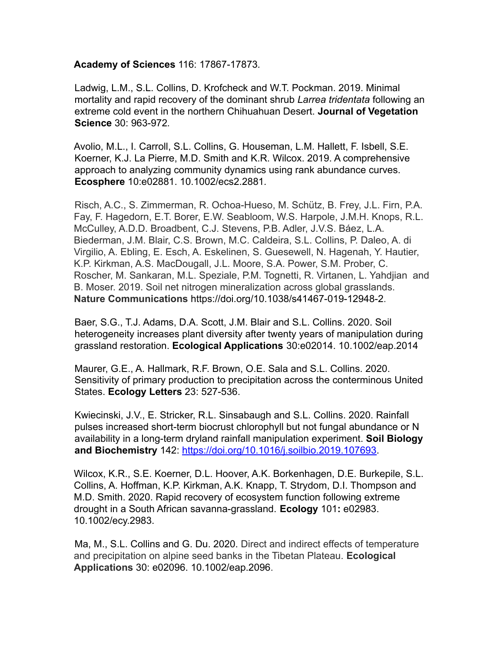#### **Academy of Sciences** 116: 17867-17873*.*

Ladwig, L.M., S.L. Collins, D. Krofcheck and W.T. Pockman. 2019. Minimal mortality and rapid recovery of the dominant shrub *Larrea tridentata* following an extreme cold event in the northern Chihuahuan Desert. **Journal of Vegetation Science** 30: 963-972*.*

Avolio, M.L., I. Carroll, S.L. Collins, G. Houseman, L.M. Hallett, F. Isbell, S.E. Koerner, K.J. La Pierre, M.D. Smith and K.R. Wilcox. 2019. A comprehensive approach to analyzing community dynamics using rank abundance curves. **Ecosphere** 10:e02881. 10.1002/ecs2.2881*.*

Risch, A.C., S. Zimmerman, R. Ochoa-Hueso, M. Schütz, B. Frey, J.L. Firn, P.A. Fay, F. Hagedorn, E.T. Borer, E.W. Seabloom, W.S. Harpole, J.M.H. Knops, R.L. McCulley, A.D.D. Broadbent, C.J. Stevens, P.B. Adler, J.V.S. Báez, L.A. Biederman, J.M. Blair, C.S. Brown, M.C. Caldeira, S.L. Collins, P. Daleo, A. di Virgilio, A. Ebling, E. Esch, A. Eskelinen, S. Guesewell, N. Hagenah, Y. Hautier, K.P. Kirkman, A.S. MacDougall, J.L. Moore, S.A. Power, S.M. Prober, C. Roscher, M. Sankaran, M.L. Speziale, P.M. Tognetti, R. Virtanen, L. Yahdjian and B. Moser. 2019. Soil net nitrogen mineralization across global grasslands. **Nature Communications** https://doi.org/10.1038/s41467-019-12948-2.

Baer, S.G., T.J. Adams, D.A. Scott, J.M. Blair and S.L. Collins. 2020. Soil heterogeneity increases plant diversity after twenty years of manipulation during grassland restoration. **Ecological Applications** 30:e02014. 10.1002/eap.2014

Maurer, G.E., A. Hallmark, R.F. Brown, O.E. Sala and S.L. Collins. 2020. Sensitivity of primary production to precipitation across the conterminous United States. **Ecology Letters** 23: 527-536.

Kwiecinski, J.V., E. Stricker, R.L. Sinsabaugh and S.L. Collins. 2020. Rainfall pulses increased short-term biocrust chlorophyll but not fungal abundance or N availability in a long-term dryland rainfall manipulation experiment. **Soil Biology and Biochemistry** 142: https://doi.org/10.1016/j.soilbio.2019.107693.

Wilcox, K.R., S.E. Koerner, D.L. Hoover, A.K. Borkenhagen, D.E. Burkepile, S.L. Collins, A. Hoffman, K.P. Kirkman, A.K. Knapp, T. Strydom, D.I. Thompson and M.D. Smith. 2020. Rapid recovery of ecosystem function following extreme drought in a South African savanna-grassland. **Ecology** 101**:** e02983. 10.1002/ecy.2983.

Ma, M., S.L. Collins and G. Du. 2020. Direct and indirect effects of temperature and precipitation on alpine seed banks in the Tibetan Plateau. **Ecological Applications** 30: e02096. 10.1002/eap.2096.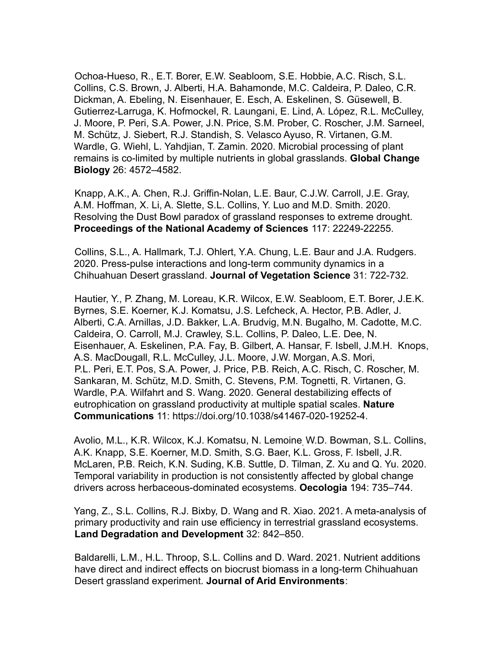Ochoa-Hueso, R., E.T. Borer, E.W. Seabloom, S.E. Hobbie, A.C. Risch, S.L. Collins, C.S. Brown, J. Alberti, H.A. Bahamonde, M.C. Caldeira, P. Daleo, C.R. Dickman, A. Ebeling, N. Eisenhauer, E. Esch, A. Eskelinen, S. Güsewell, B. Gutierrez-Larruga, K. Hofmockel, R. Laungani, E. Lind, A. López, R.L. McCulley, J. Moore, P. Peri, S.A. Power, J.N. Price, S.M. Prober, C. Roscher, J.M. Sarneel, M. Schütz, J. Siebert, R.J. Standish, S. Velasco Ayuso, R. Virtanen, G.M. Wardle, G. Wiehl, L. Yahdjian, T. Zamin. 2020. Microbial processing of plant remains is co-limited by multiple nutrients in global grasslands. **Global Change Biology** 26: 4572–4582.

Knapp, A.K., A. Chen, R.J. Griffin-Nolan, L.E. Baur, C.J.W. Carroll, J.E. Gray, A.M. Hoffman, X. Li, A. Slette, S.L. Collins, Y. Luo and M.D. Smith. 2020. Resolving the Dust Bowl paradox of grassland responses to extreme drought. **Proceedings of the National Academy of Sciences** 117: 22249-22255.

Collins, S.L., A. Hallmark, T.J. Ohlert, Y.A. Chung, L.E. Baur and J.A. Rudgers. 2020. Press-pulse interactions and long-term community dynamics in a Chihuahuan Desert grassland. **Journal of Vegetation Science** 31: 722-732.

Hautier, Y., P. Zhang, M. Loreau, K.R. Wilcox, E.W. Seabloom, E.T. Borer, J.E.K. Byrnes, S.E. Koerner, K.J. Komatsu, J.S. Lefcheck, A. Hector, P.B. Adler, J. Alberti, C.A. Arnillas, J.D. Bakker, L.A. Brudvig, M.N. Bugalho, M. Cadotte, M.C. Caldeira, O. Carroll, M.J. Crawley, S.L. Collins, P. Daleo, L.E. Dee, N. Eisenhauer, A. Eskelinen, P.A. Fay, B. Gilbert, A. Hansar, F. Isbell, J.M.H. Knops, A.S. MacDougall, R.L. McCulley, J.L. Moore, J.W. Morgan, A.S. Mori, P.L. Peri, E.T. Pos, S.A. Power, J. Price, P.B. Reich, A.C. Risch, C. Roscher, M. Sankaran, M. Schütz, M.D. Smith, C. Stevens, P.M. Tognetti, R. Virtanen, G. Wardle, P.A. Wilfahrt and S. Wang. 2020. General destabilizing effects of eutrophication on grassland productivity at multiple spatial scales. **Nature Communications** 11: https://doi.org/10.1038/s41467-020-19252-4.

Avolio, M.L., K.R. Wilcox, K.J. Komatsu, N. Lemoine, W.D. Bowman, S.L. Collins, A.K. Knapp, S.E. Koerner, M.D. Smith, S.G. Baer, K.L. Gross, F. Isbell, J.R. McLaren, P.B. Reich, K.N. Suding, K.B. Suttle, D. Tilman, Z. Xu and Q. Yu. 2020. Temporal variability in production is not consistently affected by global change drivers across herbaceous-dominated ecosystems. **Oecologia** 194: 735–744*.*

Yang, Z., S.L. Collins, R.J. Bixby, D. Wang and R. Xiao. 2021. A meta-analysis of primary productivity and rain use efficiency in terrestrial grassland ecosystems. **Land Degradation and Development** 32: 842–850.

Baldarelli, L.M., H.L. Throop, S.L. Collins and D. Ward. 2021. Nutrient additions have direct and indirect effects on biocrust biomass in a long-term Chihuahuan Desert grassland experiment. **Journal of Arid Environments**: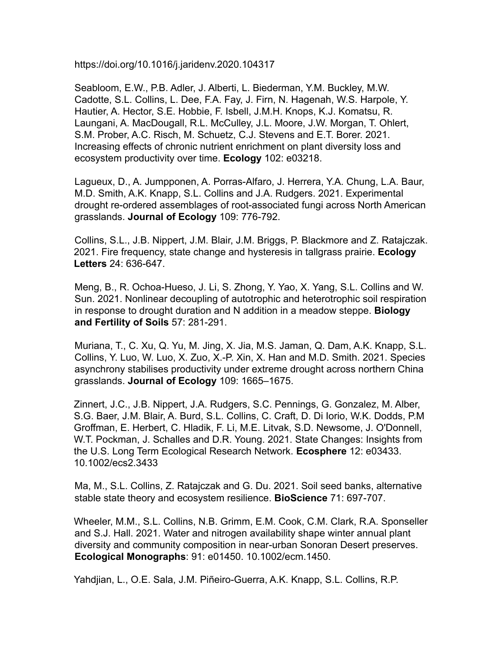https://doi.org/10.1016/j.jaridenv.2020.104317

Seabloom, E.W., P.B. Adler, J. Alberti, L. Biederman, Y.M. Buckley, M.W. Cadotte, S.L. Collins, L. Dee, F.A. Fay, J. Firn, N. Hagenah, W.S. Harpole, Y. Hautier, A. Hector, S.E. Hobbie, F. Isbell, J.M.H. Knops, K.J. Komatsu, R. Laungani, A. MacDougall, R.L. McCulley, J.L. Moore, J.W. Morgan, T. Ohlert, S.M. Prober, A.C. Risch, M. Schuetz, C.J. Stevens and E.T. Borer. 2021. Increasing effects of chronic nutrient enrichment on plant diversity loss and ecosystem productivity over time. **Ecology** 102: e03218.

Lagueux, D., A. Jumpponen, A. Porras-Alfaro, J. Herrera, Y.A. Chung, L.A. Baur, M.D. Smith, A.K. Knapp, S.L. Collins and J.A. Rudgers. 2021. Experimental drought re-ordered assemblages of root-associated fungi across North American grasslands. **Journal of Ecology** 109: 776-792.

Collins, S.L., J.B. Nippert, J.M. Blair, J.M. Briggs, P. Blackmore and Z. Ratajczak. 2021. Fire frequency, state change and hysteresis in tallgrass prairie. **Ecology Letters** 24: 636-647.

Meng, B., R. Ochoa-Hueso, J. Li, S. Zhong, Y. Yao, X. Yang, S.L. Collins and W. Sun. 2021. Nonlinear decoupling of autotrophic and heterotrophic soil respiration in response to drought duration and N addition in a meadow steppe. **Biology and Fertility of Soils** 57: 281-291.

Muriana, T., C. Xu, Q. Yu, M. Jing, X. Jia, M.S. Jaman, Q. Dam, A.K. Knapp, S.L. Collins, Y. Luo, W. Luo, X. Zuo, X.-P. Xin, X. Han and M.D. Smith. 2021. Species asynchrony stabilises productivity under extreme drought across northern China grasslands. **Journal of Ecology** 109: 1665–1675.

Zinnert, J.C., J.B. Nippert, J.A. Rudgers, S.C. Pennings, G. Gonzalez, M. Alber, S.G. Baer, J.M. Blair, A. Burd, S.L. Collins, C. Craft, D. Di Iorio, W.K. Dodds, P.M Groffman, E. Herbert, C. Hladik, F. Li, M.E. Litvak, S.D. Newsome, J. O'Donnell, W.T. Pockman, J. Schalles and D.R. Young. 2021. State Changes: Insights from the U.S. Long Term Ecological Research Network. **Ecosphere** 12: e03433. 10.1002/ecs2.3433

Ma, M., S.L. Collins, Z. Ratajczak and G. Du. 2021. Soil seed banks, alternative stable state theory and ecosystem resilience. **BioScience** 71: 697-707.

Wheeler, M.M., S.L. Collins, N.B. Grimm, E.M. Cook, C.M. Clark, R.A. Sponseller and S.J. Hall. 2021. Water and nitrogen availability shape winter annual plant diversity and community composition in near-urban Sonoran Desert preserves. **Ecological Monographs**: 91: e01450. 10.1002/ecm.1450.

Yahdjian, L., O.E. Sala, J.M. Piñeiro-Guerra, A.K. Knapp, S.L. Collins, R.P.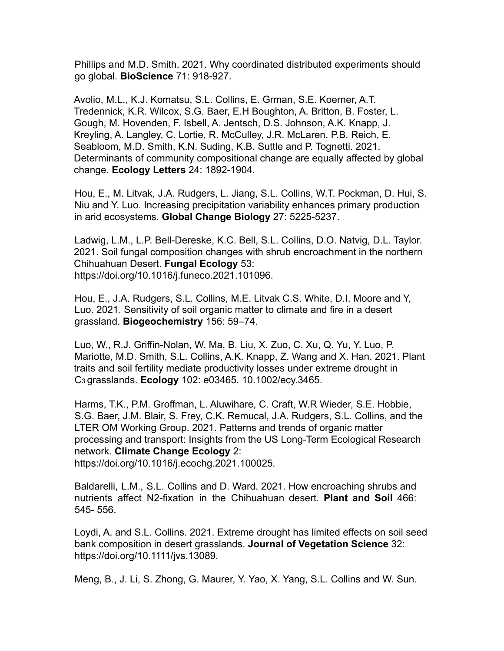Phillips and M.D. Smith. 2021. Why coordinated distributed experiments should go global. **BioScience** 71: 918-927.

Avolio, M.L., K.J. Komatsu, S.L. Collins, E. Grman, S.E. Koerner, A.T. Tredennick, K.R. Wilcox, S.G. Baer, E.H Boughton, A. Britton, B. Foster, L. Gough, M. Hovenden, F. Isbell, A. Jentsch, D.S. Johnson, A.K. Knapp, J. Kreyling, A. Langley, C. Lortie, R. McCulley, J.R. McLaren, P.B. Reich, E. Seabloom, M.D. Smith, K.N. Suding, K.B. Suttle and P. Tognetti. 2021. Determinants of community compositional change are equally affected by global change. **Ecology Letters** 24: 1892-1904.

Hou, E., M. Litvak, J.A. Rudgers, L. Jiang, S.L. Collins, W.T. Pockman, D. Hui, S. Niu and Y. Luo. Increasing precipitation variability enhances primary production in arid ecosystems. **Global Change Biology** 27: 5225-5237.

Ladwig, L.M., L.P. Bell-Dereske, K.C. Bell, S.L. Collins, D.O. Natvig, D.L. Taylor. 2021. Soil fungal composition changes with shrub encroachment in the northern Chihuahuan Desert. **Fungal Ecology** 53: https://doi.org/10.1016/j.funeco.2021.101096.

Hou, E., J.A. Rudgers, S.L. Collins, M.E. Litvak C.S. White, D.I. Moore and Y, Luo. 2021. Sensitivity of soil organic matter to climate and fire in a desert grassland. **Biogeochemistry** 156: 59–74.

Luo, W., R.J. Griffin-Nolan, W. Ma, B. Liu, X. Zuo, C. Xu, Q. Yu, Y. Luo, P. Mariotte, M.D. Smith, S.L. Collins, A.K. Knapp, Z. Wang and X. Han. 2021. Plant traits and soil fertility mediate productivity losses under extreme drought in C<sup>3</sup> grasslands. **Ecology** 102: e03465. 10.1002/ecy.3465.

Harms, T.K., P.M. Groffman, L. Aluwihare, C. Craft, W.R Wieder, S.E. Hobbie, S.G. Baer, J.M. Blair, S. Frey, C.K. Remucal, J.A. Rudgers, S.L. Collins, and the LTER OM Working Group. 2021. Patterns and trends of organic matter processing and transport: Insights from the US Long-Term Ecological Research network. **Climate Change Ecology** 2:

https://doi.org/10.1016/j.ecochg.2021.100025*.*

Baldarelli, L.M., S.L. Collins and D. Ward. 2021. How encroaching shrubs and nutrients affect N2-fixation in the Chihuahuan desert. **Plant and Soil** 466: 545- 556.

Loydi, A. and S.L. Collins. 2021. Extreme drought has limited effects on soil seed bank composition in desert grasslands. **Journal of Vegetation Science** 32: https://doi.org/10.1111/jvs.13089*.*

Meng, B., J. Li, S. Zhong, G. Maurer, Y. Yao, X. Yang, S.L. Collins and W. Sun.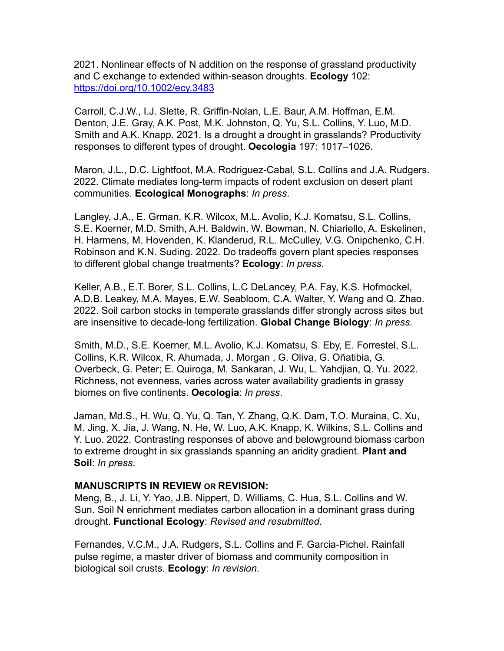2021. Nonlinear effects of N addition on the response of grassland productivity and C exchange to extended within-season droughts. **Ecology** 102: https://doi.org/10.1002/ecy.3483

Carroll, C.J.W., I.J. Slette, R. Griffin-Nolan, L.E. Baur, A.M. Hoffman, E.M. Denton, J.E. Gray, A.K. Post, M.K. Johnston, Q. Yu, S.L. Collins, Y. Luo, M.D. Smith and A.K. Knapp. 2021. Is a drought a drought in grasslands? Productivity responses to different types of drought. **Oecologia** 197: 1017–1026.

Maron, J.L., D.C. Lightfoot, M.A. Rodriguez-Cabal, S.L. Collins and J.A. Rudgers. 2022. Climate mediates long-term impacts of rodent exclusion on desert plant communities. **Ecological Monographs**: *In press*.

Langley, J.A., E. Grman, K.R. Wilcox, M.L. Avolio, K.J. Komatsu, S.L. Collins, S.E. Koerner, M.D. Smith, A.H. Baldwin, W. Bowman, N. Chiariello, A. Eskelinen, H. Harmens, M. Hovenden, K. Klanderud, R.L. McCulley, V.G. Onipchenko, C.H. Robinson and K.N. Suding. 2022. Do tradeoffs govern plant species responses to different global change treatments? **Ecology**: *In press*.

Keller, A.B., E.T. Borer, S.L. Collins, L.C DeLancey, P.A. Fay, K.S. Hofmockel, A.D.B. Leakey, M.A. Mayes, E.W. Seabloom, C.A. Walter, Y. Wang and Q. Zhao. 2022. Soil carbon stocks in temperate grasslands differ strongly across sites but are insensitive to decade-long fertilization. **Global Change Biology**: *In press.*

Smith, M.D., S.E. Koerner, M.L. Avolio, K.J. Komatsu, S. Eby, E. Forrestel, S.L. Collins, K.R. Wilcox, R. Ahumada, J. Morgan , G. Oliva, G. Oñatibia, G. Overbeck, G. Peter; E. Quiroga, M. Sankaran, J. Wu, L. Yahdjian, Q. Yu. 2022. Richness, not evenness, varies across water availability gradients in grassy biomes on five continents. **Oecologia**: *In press*.

Jaman, Md.S., H. Wu, Q. Yu, Q. Tan, Y. Zhang, Q.K. Dam, T.O. Muraina, C. Xu, M. Jing, X. Jia, J. Wang, N. He, W. Luo, A.K. Knapp, K. Wilkins, S.L. Collins and Y. Luo. 2022. Contrasting responses of above and belowground biomass carbon to extreme drought in six grasslands spanning an aridity gradient. **Plant and Soil**: *In press*.

### **MANUSCRIPTS IN REVIEW OR REVISION:**

Meng, B., J. Li, Y. Yao, J.B. Nippert, D. Williams, C. Hua, S.L. Collins and W. Sun. Soil N enrichment mediates carbon allocation in a dominant grass during drought. **Functional Ecology**: *Revised and resubmitted*.

Fernandes, V.C.M., J.A. Rudgers, S.L. Collins and F. Garcia-Pichel. Rainfall pulse regime, a master driver of biomass and community composition in biological soil crusts. **Ecology**: *In revision*.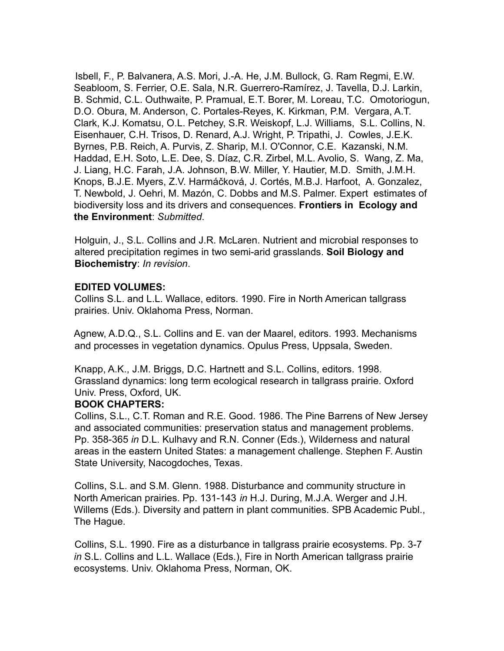Isbell, F., P. Balvanera, A.S. Mori, J.-A. He, J.M. Bullock, G. Ram Regmi, E.W. Seabloom, S. Ferrier, O.E. Sala, N.R. Guerrero-Ramírez, J. Tavella, D.J. Larkin, B. Schmid, C.L. Outhwaite, P. Pramual, E.T. Borer, M. Loreau, T.C. Omotoriogun, D.O. Obura, M. Anderson, C. Portales-Reyes, K. Kirkman, P.M. Vergara, A.T. Clark, K.J. Komatsu, O.L. Petchey, S.R. Weiskopf, L.J. Williams, S.L. Collins, N. Eisenhauer, C.H. Trisos, D. Renard, A.J. Wright, P. Tripathi, J. Cowles, J.E.K. Byrnes, P.B. Reich, A. Purvis, Z. Sharip, M.I. O'Connor, C.E. Kazanski, N.M. Haddad, E.H. Soto, L.E. Dee, S. Díaz, C.R. Zirbel, M.L. Avolio, S. Wang, Z. Ma, J. Liang, H.C. Farah, J.A. Johnson, B.W. Miller, Y. Hautier, M.D. Smith, J.M.H. Knops, B.J.E. Myers, Z.V. Harmáčková, J. Cortés, M.B.J. Harfoot, A. Gonzalez, T. Newbold, J. Oehri, M. Mazón, C. Dobbs and M.S. Palmer. Expert estimates of biodiversity loss and its drivers and consequences. **Frontiers in Ecology and the Environment**: *Submitted*.

Holguin, J., S.L. Collins and J.R. McLaren. Nutrient and microbial responses to altered precipitation regimes in two semi-arid grasslands. **Soil Biology and Biochemistry**: *In revision*.

### **EDITED VOLUMES:**

Collins S.L. and L.L. Wallace, editors. 1990. Fire in North American tallgrass prairies. Univ. Oklahoma Press, Norman.

Agnew, A.D.Q., S.L. Collins and E. van der Maarel, editors. 1993. Mechanisms and processes in vegetation dynamics. Opulus Press, Uppsala, Sweden.

Knapp, A.K., J.M. Briggs, D.C. Hartnett and S.L. Collins, editors. 1998. Grassland dynamics: long term ecological research in tallgrass prairie. Oxford Univ. Press, Oxford, UK.

### **BOOK CHAPTERS:**

Collins, S.L., C.T. Roman and R.E. Good. 1986. The Pine Barrens of New Jersey and associated communities: preservation status and management problems. Pp. 358-365 *in* D.L. Kulhavy and R.N. Conner (Eds.), Wilderness and natural areas in the eastern United States: a management challenge. Stephen F. Austin State University, Nacogdoches, Texas.

Collins, S.L. and S.M. Glenn. 1988. Disturbance and community structure in North American prairies. Pp. 131-143 *in* H.J. During, M.J.A. Werger and J.H. Willems (Eds.). Diversity and pattern in plant communities. SPB Academic Publ., The Hague.

Collins, S.L. 1990. Fire as a disturbance in tallgrass prairie ecosystems. Pp. 3-7 *in* S.L. Collins and L.L. Wallace (Eds.), Fire in North American tallgrass prairie ecosystems. Univ. Oklahoma Press, Norman, OK.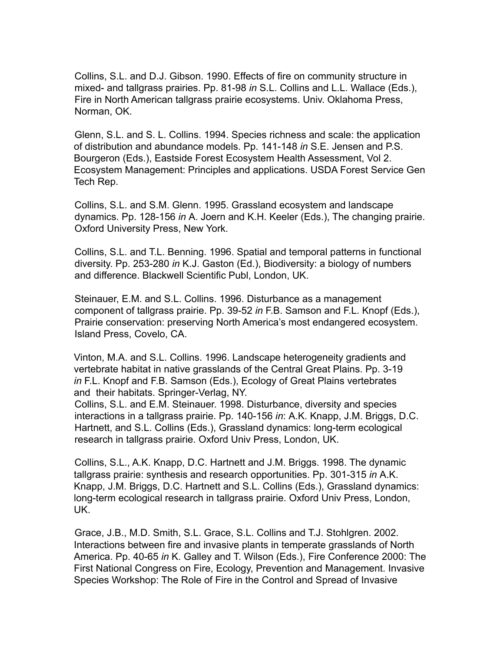Collins, S.L. and D.J. Gibson. 1990. Effects of fire on community structure in mixed- and tallgrass prairies. Pp. 81-98 *in* S.L. Collins and L.L. Wallace (Eds.), Fire in North American tallgrass prairie ecosystems. Univ. Oklahoma Press, Norman, OK.

Glenn, S.L. and S. L. Collins. 1994. Species richness and scale: the application of distribution and abundance models. Pp. 141-148 *in* S.E. Jensen and P.S. Bourgeron (Eds.), Eastside Forest Ecosystem Health Assessment, Vol 2. Ecosystem Management: Principles and applications. USDA Forest Service Gen Tech Rep.

Collins, S.L. and S.M. Glenn. 1995. Grassland ecosystem and landscape dynamics. Pp. 128-156 *in* A. Joern and K.H. Keeler (Eds.), The changing prairie. Oxford University Press, New York.

Collins, S.L. and T.L. Benning. 1996. Spatial and temporal patterns in functional diversity. Pp. 253-280 *in* K.J. Gaston (Ed.), Biodiversity: a biology of numbers and difference. Blackwell Scientific Publ, London, UK.

Steinauer, E.M. and S.L. Collins. 1996. Disturbance as a management component of tallgrass prairie. Pp. 39-52 *in* F.B. Samson and F.L. Knopf (Eds.), Prairie conservation: preserving North America's most endangered ecosystem. Island Press, Covelo, CA.

Vinton, M.A. and S.L. Collins. 1996. Landscape heterogeneity gradients and vertebrate habitat in native grasslands of the Central Great Plains. Pp. 3-19 *in* F.L. Knopf and F.B. Samson (Eds.), Ecology of Great Plains vertebrates and their habitats. Springer-Verlag, NY.

Collins, S.L. and E.M. Steinauer. 1998. Disturbance, diversity and species interactions in a tallgrass prairie. Pp. 140-156 *in*: A.K. Knapp, J.M. Briggs, D.C. Hartnett, and S.L. Collins (Eds.), Grassland dynamics: long-term ecological research in tallgrass prairie. Oxford Univ Press, London, UK.

Collins, S.L., A.K. Knapp, D.C. Hartnett and J.M. Briggs. 1998. The dynamic tallgrass prairie: synthesis and research opportunities. Pp. 301-315 *in* A.K. Knapp, J.M. Briggs, D.C. Hartnett and S.L. Collins (Eds.), Grassland dynamics: long-term ecological research in tallgrass prairie. Oxford Univ Press, London, UK.

Grace, J.B., M.D. Smith, S.L. Grace, S.L. Collins and T.J. Stohlgren. 2002. Interactions between fire and invasive plants in temperate grasslands of North America. Pp. 40-65 *in* K. Galley and T. Wilson (Eds.), Fire Conference 2000: The First National Congress on Fire, Ecology, Prevention and Management. Invasive Species Workshop: The Role of Fire in the Control and Spread of Invasive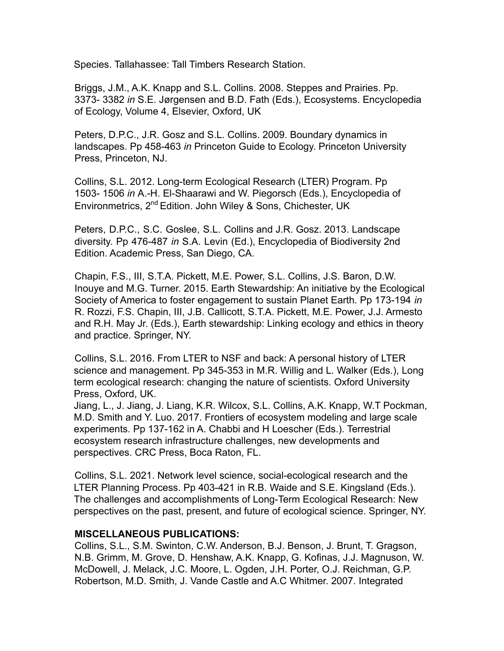Species. Tallahassee: Tall Timbers Research Station.

Briggs, J.M., A.K. Knapp and S.L. Collins. 2008. Steppes and Prairies. Pp. 3373- 3382 *in* S.E. Jørgensen and B.D. Fath (Eds.), Ecosystems. Encyclopedia of Ecology, Volume 4, Elsevier, Oxford, UK

Peters, D.P.C., J.R. Gosz and S.L. Collins. 2009. Boundary dynamics in landscapes. Pp 458-463 *in* Princeton Guide to Ecology. Princeton University Press, Princeton, NJ.

Collins, S.L. 2012. Long-term Ecological Research (LTER) Program. Pp 1503- 1506 *in* A.-H. El-Shaarawi and W. Piegorsch (Eds.), Encyclopedia of Environmetrics, 2<sup>nd</sup> Edition, John Wiley & Sons, Chichester, UK

Peters, D.P.C., S.C. Goslee, S.L. Collins and J.R. Gosz. 2013. Landscape diversity. Pp 476-487 *in* S.A. Levin (Ed.), Encyclopedia of Biodiversity 2nd Edition. Academic Press, San Diego, CA.

Chapin, F.S., III, S.T.A. Pickett, M.E. Power, S.L. Collins, J.S. Baron, D.W. Inouye and M.G. Turner. 2015. Earth Stewardship: An initiative by the Ecological Society of America to foster engagement to sustain Planet Earth. Pp 173-194 *in* R. Rozzi, F.S. Chapin, III, J.B. Callicott, S.T.A. Pickett, M.E. Power, J.J. Armesto and R.H. May Jr. (Eds.), Earth stewardship: Linking ecology and ethics in theory and practice. Springer, NY.

Collins, S.L. 2016. From LTER to NSF and back: A personal history of LTER science and management. Pp 345-353 in M.R. Willig and L. Walker (Eds.), Long term ecological research: changing the nature of scientists. Oxford University Press, Oxford, UK.

Jiang, L., J. Jiang, J. Liang, K.R. Wilcox, S.L. Collins, A.K. Knapp, W.T Pockman, M.D. Smith and Y. Luo. 2017. Frontiers of ecosystem modeling and large scale experiments. Pp 137-162 in A. Chabbi and H Loescher (Eds.). Terrestrial ecosystem research infrastructure challenges, new developments and perspectives. CRC Press, Boca Raton, FL.

Collins, S.L. 2021. Network level science, social-ecological research and the LTER Planning Process. Pp 403-421 in R.B. Waide and S.E. Kingsland (Eds.). The challenges and accomplishments of Long-Term Ecological Research: New perspectives on the past, present, and future of ecological science. Springer, NY.

### **MISCELLANEOUS PUBLICATIONS:**

Collins, S.L., S.M. Swinton, C.W. Anderson, B.J. Benson, J. Brunt, T. Gragson, N.B. Grimm, M. Grove, D. Henshaw, A.K. Knapp, G. Kofinas, J.J. Magnuson, W. McDowell, J. Melack, J.C. Moore, L. Ogden, J.H. Porter, O.J. Reichman, G.P. Robertson, M.D. Smith, J. Vande Castle and A.C Whitmer. 2007. Integrated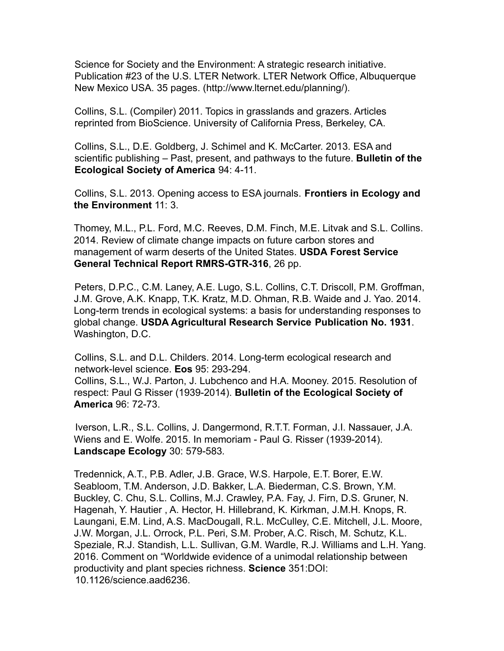Science for Society and the Environment: A strategic research initiative. Publication #23 of the U.S. LTER Network. LTER Network Office, Albuquerque New Mexico USA. 35 pages. (http://www.lternet.edu/planning/).

Collins, S.L. (Compiler) 2011. Topics in grasslands and grazers. Articles reprinted from BioScience. University of California Press, Berkeley, CA.

Collins, S.L., D.E. Goldberg, J. Schimel and K. McCarter. 2013. ESA and scientific publishing – Past, present, and pathways to the future. **Bulletin of the Ecological Society of America** 94: 4-11.

Collins, S.L. 2013. Opening access to ESA journals. **Frontiers in Ecology and the Environment** 11: 3.

Thomey, M.L., P.L. Ford, M.C. Reeves, D.M. Finch, M.E. Litvak and S.L. Collins. 2014. Review of climate change impacts on future carbon stores and management of warm deserts of the United States. **USDA Forest Service General Technical Report RMRS-GTR-316**, 26 pp.

Peters, D.P.C., C.M. Laney, A.E. Lugo, S.L. Collins, C.T. Driscoll, P.M. Groffman, J.M. Grove, A.K. Knapp, T.K. Kratz, M.D. Ohman, R.B. Waide and J. Yao. 2014. Long-term trends in ecological systems: a basis for understanding responses to global change. **USDA Agricultural Research Service Publication No. 1931**. Washington, D.C.

Collins, S.L. and D.L. Childers. 2014. Long-term ecological research and network-level science. **Eos** 95: 293-294.

Collins, S.L., W.J. Parton, J. Lubchenco and H.A. Mooney. 2015. Resolution of respect: Paul G Risser (1939-2014). **Bulletin of the Ecological Society of America** 96: 72-73.

Iverson, L.R., S.L. Collins, J. Dangermond, R.T.T. Forman, J.I. Nassauer, J.A. Wiens and E. Wolfe. 2015. In memoriam - Paul G. Risser (1939-2014). **Landscape Ecology** 30: 579-583*.*

Tredennick, A.T., P.B. Adler, J.B. Grace, W.S. Harpole, E.T. Borer, E.W. Seabloom, T.M. Anderson, J.D. Bakker, L.A. Biederman, C.S. Brown, Y.M. Buckley, C. Chu, S.L. Collins, M.J. Crawley, P.A. Fay, J. Firn, D.S. Gruner, N. Hagenah, Y. Hautier , A. Hector, H. Hillebrand, K. Kirkman, J.M.H. Knops, R. Laungani, E.M. Lind, A.S. MacDougall, R.L. McCulley, C.E. Mitchell, J.L. Moore, J.W. Morgan, J.L. Orrock, P.L. Peri, S.M. Prober, A.C. Risch, M. Schutz, K.L. Speziale, R.J. Standish, L.L. Sullivan, G.M. Wardle, R.J. Williams and L.H. Yang. 2016. Comment on "Worldwide evidence of a unimodal relationship between productivity and plant species richness. **Science** 351:DOI: 10.1126/science.aad6236.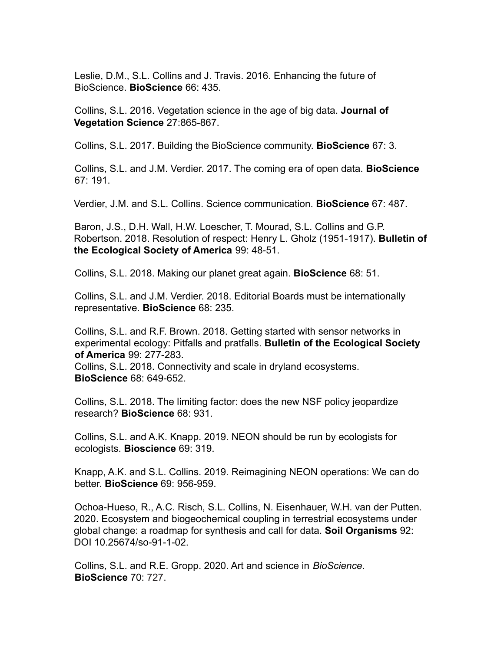Leslie, D.M., S.L. Collins and J. Travis. 2016. Enhancing the future of BioScience. **BioScience** 66: 435.

Collins, S.L. 2016. Vegetation science in the age of big data. **Journal of Vegetation Science** 27:865-867.

Collins, S.L. 2017. Building the BioScience community. **BioScience** 67: 3.

Collins, S.L. and J.M. Verdier. 2017. The coming era of open data. **BioScience** 67: 191.

Verdier, J.M. and S.L. Collins. Science communication. **BioScience** 67: 487.

Baron, J.S., D.H. Wall, H.W. Loescher, T. Mourad, S.L. Collins and G.P. Robertson. 2018. Resolution of respect: Henry L. Gholz (1951-1917). **Bulletin of the Ecological Society of America** 99: 48-51.

Collins, S.L. 2018. Making our planet great again. **BioScience** 68: 51.

Collins, S.L. and J.M. Verdier. 2018. Editorial Boards must be internationally representative. **BioScience** 68: 235.

Collins, S.L. and R.F. Brown. 2018. Getting started with sensor networks in experimental ecology: Pitfalls and pratfalls. **Bulletin of the Ecological Society of America** 99: 277-283.

Collins, S.L. 2018. Connectivity and scale in dryland ecosystems. **BioScience** 68: 649-652.

Collins, S.L. 2018. The limiting factor: does the new NSF policy jeopardize research? **BioScience** 68: 931.

Collins, S.L. and A.K. Knapp. 2019. NEON should be run by ecologists for ecologists. **Bioscience** 69: 319.

Knapp, A.K. and S.L. Collins. 2019. Reimagining NEON operations: We can do better. **BioScience** 69: 956-959.

Ochoa-Hueso, R., A.C. Risch, S.L. Collins, N. Eisenhauer, W.H. van der Putten. 2020. Ecosystem and biogeochemical coupling in terrestrial ecosystems under global change: a roadmap for synthesis and call for data. **Soil Organisms** 92: DOI 10.25674/so-91-1-02.

Collins, S.L. and R.E. Gropp. 2020. Art and science in *BioScience*. **BioScience** 70: 727.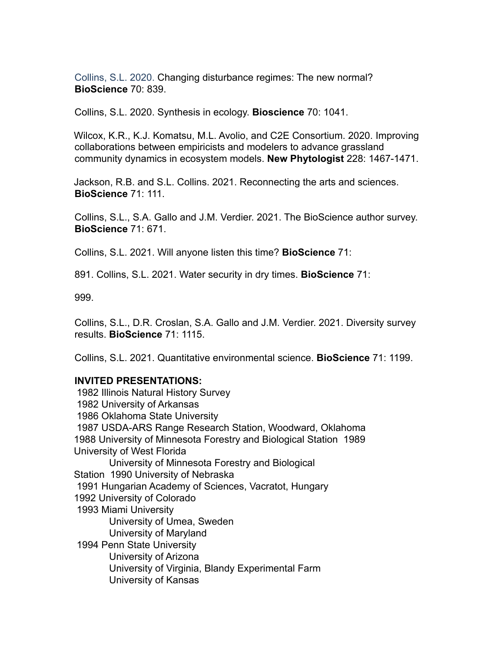Collins, S.L. 2020. Changing disturbance regimes: The new normal? **BioScience** 70: 839.

Collins, S.L. 2020. Synthesis in ecology. **Bioscience** 70: 1041.

Wilcox, K.R., K.J. Komatsu, M.L. Avolio, and C2E Consortium. 2020. Improving collaborations between empiricists and modelers to advance grassland community dynamics in ecosystem models. **New Phytologist** 228: 1467-1471.

Jackson, R.B. and S.L. Collins. 2021. Reconnecting the arts and sciences. **BioScience** 71: 111.

Collins, S.L., S.A. Gallo and J.M. Verdier. 2021. The BioScience author survey. **BioScience** 71: 671.

Collins, S.L. 2021. Will anyone listen this time? **BioScience** 71:

891. Collins, S.L. 2021. Water security in dry times. **BioScience** 71:

999.

Collins, S.L., D.R. Croslan, S.A. Gallo and J.M. Verdier. 2021. Diversity survey results. **BioScience** 71: 1115.

Collins, S.L. 2021. Quantitative environmental science. **BioScience** 71: 1199.

#### **INVITED PRESENTATIONS:**

1982 Illinois Natural History Survey 1982 University of Arkansas 1986 Oklahoma State University 1987 USDA-ARS Range Research Station, Woodward, Oklahoma 1988 University of Minnesota Forestry and Biological Station 1989 University of West Florida University of Minnesota Forestry and Biological Station 1990 University of Nebraska 1991 Hungarian Academy of Sciences, Vacratot, Hungary 1992 University of Colorado 1993 Miami University University of Umea, Sweden University of Maryland 1994 Penn State University University of Arizona University of Virginia, Blandy Experimental Farm University of Kansas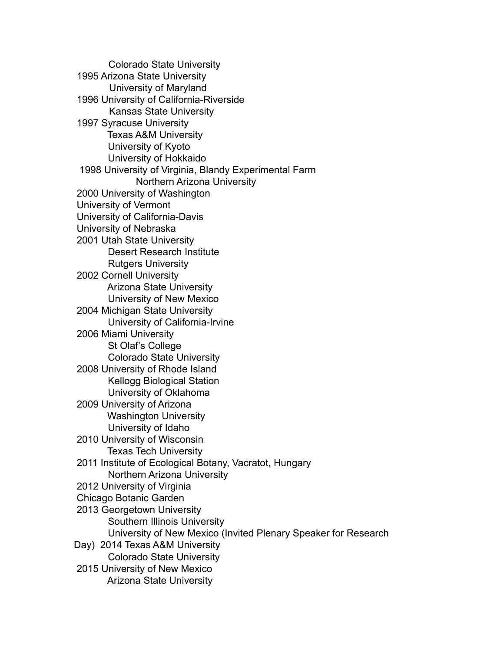Colorado State University 1995 Arizona State University University of Maryland 1996 University of California-Riverside Kansas State University 1997 Syracuse University Texas A&M University University of Kyoto University of Hokkaido 1998 University of Virginia, Blandy Experimental Farm Northern Arizona University 2000 University of Washington University of Vermont University of California-Davis University of Nebraska 2001 Utah State University Desert Research Institute Rutgers University 2002 Cornell University Arizona State University University of New Mexico 2004 Michigan State University University of California-Irvine 2006 Miami University St Olaf's College Colorado State University 2008 University of Rhode Island Kellogg Biological Station University of Oklahoma 2009 University of Arizona Washington University University of Idaho 2010 University of Wisconsin Texas Tech University 2011 Institute of Ecological Botany, Vacratot, Hungary Northern Arizona University 2012 University of Virginia Chicago Botanic Garden 2013 Georgetown University Southern Illinois University University of New Mexico (Invited Plenary Speaker for Research Day) 2014 Texas A&M University Colorado State University 2015 University of New Mexico Arizona State University